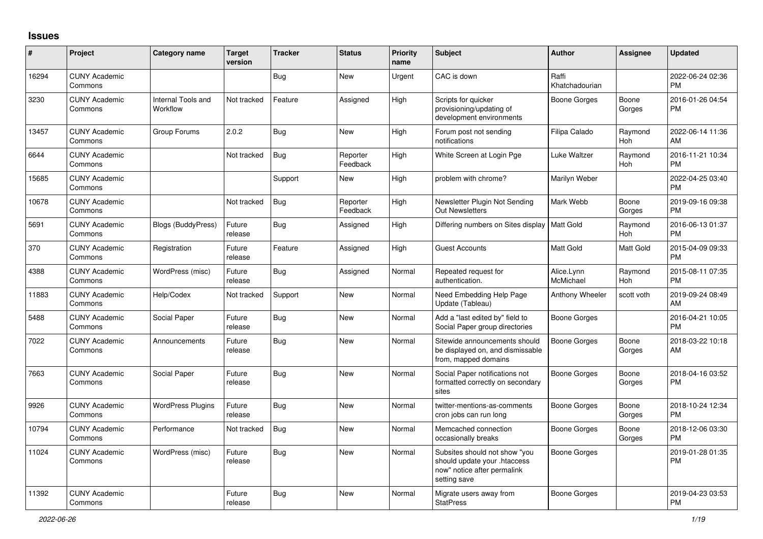## **Issues**

| ∦     | Project                         | <b>Category name</b>           | <b>Target</b><br>version | <b>Tracker</b> | <b>Status</b>        | Priority<br>name | <b>Subject</b>                                                                                               | Author                  | <b>Assignee</b>       | <b>Updated</b>                |
|-------|---------------------------------|--------------------------------|--------------------------|----------------|----------------------|------------------|--------------------------------------------------------------------------------------------------------------|-------------------------|-----------------------|-------------------------------|
| 16294 | <b>CUNY Academic</b><br>Commons |                                |                          | <b>Bug</b>     | New                  | Urgent           | CAC is down                                                                                                  | Raffi<br>Khatchadourian |                       | 2022-06-24 02:36<br><b>PM</b> |
| 3230  | <b>CUNY Academic</b><br>Commons | Internal Tools and<br>Workflow | Not tracked              | Feature        | Assigned             | High             | Scripts for quicker<br>provisioning/updating of<br>development environments                                  | <b>Boone Gorges</b>     | Boone<br>Gorges       | 2016-01-26 04:54<br><b>PM</b> |
| 13457 | <b>CUNY Academic</b><br>Commons | Group Forums                   | 2.0.2                    | <b>Bug</b>     | <b>New</b>           | High             | Forum post not sending<br>notifications                                                                      | Filipa Calado           | Raymond<br><b>Hoh</b> | 2022-06-14 11:36<br>AM        |
| 6644  | <b>CUNY Academic</b><br>Commons |                                | Not tracked              | Bug            | Reporter<br>Feedback | High             | White Screen at Login Pge                                                                                    | Luke Waltzer            | Raymond<br><b>Hoh</b> | 2016-11-21 10:34<br><b>PM</b> |
| 15685 | <b>CUNY Academic</b><br>Commons |                                |                          | Support        | <b>New</b>           | High             | problem with chrome?                                                                                         | Marilyn Weber           |                       | 2022-04-25 03:40<br><b>PM</b> |
| 10678 | <b>CUNY Academic</b><br>Commons |                                | Not tracked              | <b>Bug</b>     | Reporter<br>Feedback | High             | Newsletter Plugin Not Sending<br><b>Out Newsletters</b>                                                      | Mark Webb               | Boone<br>Gorges       | 2019-09-16 09:38<br><b>PM</b> |
| 5691  | <b>CUNY Academic</b><br>Commons | <b>Blogs (BuddyPress)</b>      | Future<br>release        | Bug            | Assigned             | High             | Differing numbers on Sites display                                                                           | Matt Gold               | Raymond<br>Hoh        | 2016-06-13 01:37<br><b>PM</b> |
| 370   | <b>CUNY Academic</b><br>Commons | Registration                   | Future<br>release        | Feature        | Assigned             | High             | <b>Guest Accounts</b>                                                                                        | <b>Matt Gold</b>        | Matt Gold             | 2015-04-09 09:33<br><b>PM</b> |
| 4388  | <b>CUNY Academic</b><br>Commons | WordPress (misc)               | Future<br>release        | <b>Bug</b>     | Assigned             | Normal           | Repeated request for<br>authentication.                                                                      | Alice.Lynn<br>McMichael | Raymond<br>Hoh        | 2015-08-11 07:35<br><b>PM</b> |
| 11883 | <b>CUNY Academic</b><br>Commons | Help/Codex                     | Not tracked              | Support        | <b>New</b>           | Normal           | Need Embedding Help Page<br>Update (Tableau)                                                                 | Anthony Wheeler         | scott voth            | 2019-09-24 08:49<br>AM        |
| 5488  | <b>CUNY Academic</b><br>Commons | Social Paper                   | Future<br>release        | Bug            | New                  | Normal           | Add a "last edited by" field to<br>Social Paper group directories                                            | <b>Boone Gorges</b>     |                       | 2016-04-21 10:05<br><b>PM</b> |
| 7022  | <b>CUNY Academic</b><br>Commons | Announcements                  | Future<br>release        | Bug            | <b>New</b>           | Normal           | Sitewide announcements should<br>be displayed on, and dismissable<br>from, mapped domains                    | Boone Gorges            | Boone<br>Gorges       | 2018-03-22 10:18<br>AM        |
| 7663  | <b>CUNY Academic</b><br>Commons | Social Paper                   | Future<br>release        | Bug            | <b>New</b>           | Normal           | Social Paper notifications not<br>formatted correctly on secondary<br>sites                                  | Boone Gorges            | Boone<br>Gorges       | 2018-04-16 03:52<br><b>PM</b> |
| 9926  | <b>CUNY Academic</b><br>Commons | <b>WordPress Plugins</b>       | Future<br>release        | Bug            | New                  | Normal           | twitter-mentions-as-comments<br>cron jobs can run long                                                       | Boone Gorges            | Boone<br>Gorges       | 2018-10-24 12:34<br><b>PM</b> |
| 10794 | <b>CUNY Academic</b><br>Commons | Performance                    | Not tracked              | <b>Bug</b>     | New                  | Normal           | Memcached connection<br>occasionally breaks                                                                  | <b>Boone Gorges</b>     | Boone<br>Gorges       | 2018-12-06 03:30<br><b>PM</b> |
| 11024 | <b>CUNY Academic</b><br>Commons | WordPress (misc)               | Future<br>release        | <b>Bug</b>     | New                  | Normal           | Subsites should not show "you<br>should update your .htaccess<br>now" notice after permalink<br>setting save | <b>Boone Gorges</b>     |                       | 2019-01-28 01:35<br><b>PM</b> |
| 11392 | <b>CUNY Academic</b><br>Commons |                                | Future<br>release        | Bug            | <b>New</b>           | Normal           | Migrate users away from<br><b>StatPress</b>                                                                  | <b>Boone Gorges</b>     |                       | 2019-04-23 03:53<br><b>PM</b> |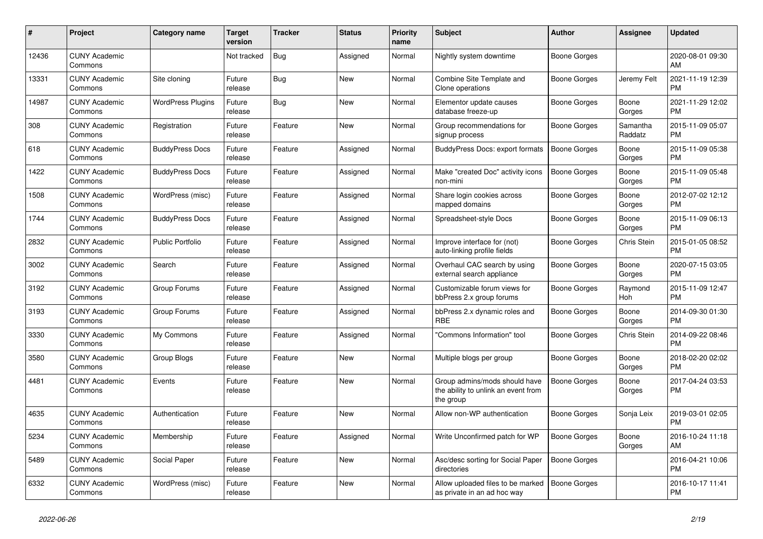| $\#$  | Project                         | Category name            | <b>Target</b><br>version | <b>Tracker</b> | <b>Status</b> | <b>Priority</b><br>name | <b>Subject</b>                                                                    | <b>Author</b>       | <b>Assignee</b>     | <b>Updated</b>                |
|-------|---------------------------------|--------------------------|--------------------------|----------------|---------------|-------------------------|-----------------------------------------------------------------------------------|---------------------|---------------------|-------------------------------|
| 12436 | <b>CUNY Academic</b><br>Commons |                          | Not tracked              | <b>Bug</b>     | Assigned      | Normal                  | Nightly system downtime                                                           | Boone Gorges        |                     | 2020-08-01 09:30<br>AM        |
| 13331 | <b>CUNY Academic</b><br>Commons | Site cloning             | Future<br>release        | <b>Bug</b>     | <b>New</b>    | Normal                  | Combine Site Template and<br>Clone operations                                     | Boone Gorges        | Jeremy Felt         | 2021-11-19 12:39<br><b>PM</b> |
| 14987 | <b>CUNY Academic</b><br>Commons | <b>WordPress Plugins</b> | Future<br>release        | Bug            | <b>New</b>    | Normal                  | Elementor update causes<br>database freeze-up                                     | Boone Gorges        | Boone<br>Gorges     | 2021-11-29 12:02<br><b>PM</b> |
| 308   | <b>CUNY Academic</b><br>Commons | Registration             | Future<br>release        | Feature        | <b>New</b>    | Normal                  | Group recommendations for<br>signup process                                       | Boone Gorges        | Samantha<br>Raddatz | 2015-11-09 05:07<br><b>PM</b> |
| 618   | <b>CUNY Academic</b><br>Commons | <b>BuddyPress Docs</b>   | Future<br>release        | Feature        | Assigned      | Normal                  | BuddyPress Docs: export formats                                                   | <b>Boone Gorges</b> | Boone<br>Gorges     | 2015-11-09 05:38<br><b>PM</b> |
| 1422  | <b>CUNY Academic</b><br>Commons | <b>BuddyPress Docs</b>   | Future<br>release        | Feature        | Assigned      | Normal                  | Make "created Doc" activity icons<br>non-mini                                     | <b>Boone Gorges</b> | Boone<br>Gorges     | 2015-11-09 05:48<br><b>PM</b> |
| 1508  | <b>CUNY Academic</b><br>Commons | WordPress (misc)         | Future<br>release        | Feature        | Assigned      | Normal                  | Share login cookies across<br>mapped domains                                      | Boone Gorges        | Boone<br>Gorges     | 2012-07-02 12:12<br><b>PM</b> |
| 1744  | <b>CUNY Academic</b><br>Commons | <b>BuddyPress Docs</b>   | Future<br>release        | Feature        | Assigned      | Normal                  | Spreadsheet-style Docs                                                            | Boone Gorges        | Boone<br>Gorges     | 2015-11-09 06:13<br><b>PM</b> |
| 2832  | <b>CUNY Academic</b><br>Commons | <b>Public Portfolio</b>  | Future<br>release        | Feature        | Assigned      | Normal                  | Improve interface for (not)<br>auto-linking profile fields                        | Boone Gorges        | Chris Stein         | 2015-01-05 08:52<br><b>PM</b> |
| 3002  | <b>CUNY Academic</b><br>Commons | Search                   | Future<br>release        | Feature        | Assigned      | Normal                  | Overhaul CAC search by using<br>external search appliance                         | Boone Gorges        | Boone<br>Gorges     | 2020-07-15 03:05<br><b>PM</b> |
| 3192  | <b>CUNY Academic</b><br>Commons | Group Forums             | Future<br>release        | Feature        | Assigned      | Normal                  | Customizable forum views for<br>bbPress 2.x group forums                          | Boone Gorges        | Raymond<br>Hoh      | 2015-11-09 12:47<br><b>PM</b> |
| 3193  | <b>CUNY Academic</b><br>Commons | Group Forums             | Future<br>release        | Feature        | Assigned      | Normal                  | bbPress 2.x dynamic roles and<br><b>RBE</b>                                       | Boone Gorges        | Boone<br>Gorges     | 2014-09-30 01:30<br><b>PM</b> |
| 3330  | <b>CUNY Academic</b><br>Commons | My Commons               | Future<br>release        | Feature        | Assigned      | Normal                  | 'Commons Information" tool                                                        | Boone Gorges        | Chris Stein         | 2014-09-22 08:46<br><b>PM</b> |
| 3580  | <b>CUNY Academic</b><br>Commons | Group Blogs              | Future<br>release        | Feature        | <b>New</b>    | Normal                  | Multiple blogs per group                                                          | Boone Gorges        | Boone<br>Gorges     | 2018-02-20 02:02<br><b>PM</b> |
| 4481  | <b>CUNY Academic</b><br>Commons | Events                   | Future<br>release        | Feature        | <b>New</b>    | Normal                  | Group admins/mods should have<br>the ability to unlink an event from<br>the group | <b>Boone Gorges</b> | Boone<br>Gorges     | 2017-04-24 03:53<br><b>PM</b> |
| 4635  | <b>CUNY Academic</b><br>Commons | Authentication           | Future<br>release        | Feature        | <b>New</b>    | Normal                  | Allow non-WP authentication                                                       | Boone Gorges        | Sonja Leix          | 2019-03-01 02:05<br><b>PM</b> |
| 5234  | <b>CUNY Academic</b><br>Commons | Membership               | Future<br>release        | Feature        | Assigned      | Normal                  | Write Unconfirmed patch for WP                                                    | <b>Boone Gorges</b> | Boone<br>Gorges     | 2016-10-24 11:18<br>AM        |
| 5489  | <b>CUNY Academic</b><br>Commons | Social Paper             | Future<br>release        | Feature        | <b>New</b>    | Normal                  | Asc/desc sorting for Social Paper<br>directories                                  | <b>Boone Gorges</b> |                     | 2016-04-21 10:06<br><b>PM</b> |
| 6332  | <b>CUNY Academic</b><br>Commons | WordPress (misc)         | Future<br>release        | Feature        | <b>New</b>    | Normal                  | Allow uploaded files to be marked<br>as private in an ad hoc way                  | Boone Gorges        |                     | 2016-10-17 11:41<br>PM        |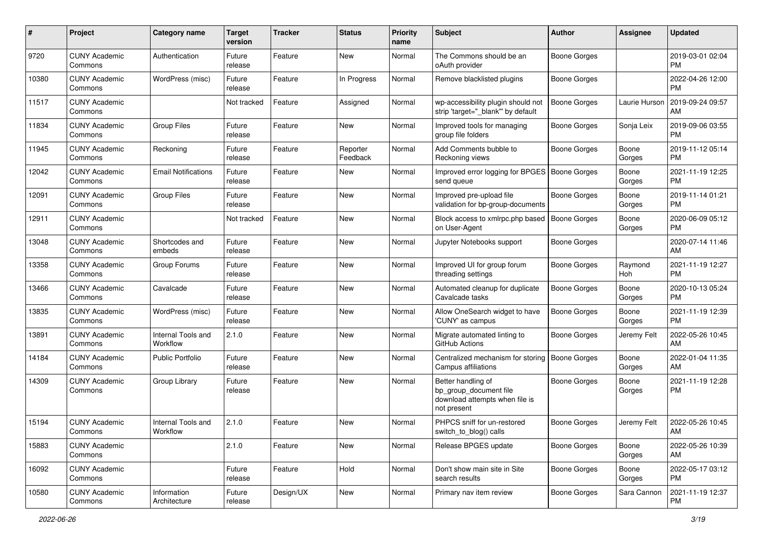| #     | Project                         | <b>Category name</b>           | <b>Target</b><br>version | <b>Tracker</b> | <b>Status</b>        | <b>Priority</b><br>name | <b>Subject</b>                                                                                | <b>Author</b>       | Assignee        | <b>Updated</b>                |
|-------|---------------------------------|--------------------------------|--------------------------|----------------|----------------------|-------------------------|-----------------------------------------------------------------------------------------------|---------------------|-----------------|-------------------------------|
| 9720  | <b>CUNY Academic</b><br>Commons | Authentication                 | Future<br>release        | Feature        | New                  | Normal                  | The Commons should be an<br>oAuth provider                                                    | <b>Boone Gorges</b> |                 | 2019-03-01 02:04<br><b>PM</b> |
| 10380 | <b>CUNY Academic</b><br>Commons | WordPress (misc)               | Future<br>release        | Feature        | In Progress          | Normal                  | Remove blacklisted plugins                                                                    | <b>Boone Gorges</b> |                 | 2022-04-26 12:00<br><b>PM</b> |
| 11517 | <b>CUNY Academic</b><br>Commons |                                | Not tracked              | Feature        | Assigned             | Normal                  | wp-accessibility plugin should not<br>strip 'target="_blank"' by default                      | <b>Boone Gorges</b> | Laurie Hurson   | 2019-09-24 09:57<br>AM        |
| 11834 | <b>CUNY Academic</b><br>Commons | <b>Group Files</b>             | Future<br>release        | Feature        | <b>New</b>           | Normal                  | Improved tools for managing<br>group file folders                                             | <b>Boone Gorges</b> | Sonja Leix      | 2019-09-06 03:55<br><b>PM</b> |
| 11945 | <b>CUNY Academic</b><br>Commons | Reckoning                      | Future<br>release        | Feature        | Reporter<br>Feedback | Normal                  | Add Comments bubble to<br>Reckoning views                                                     | <b>Boone Gorges</b> | Boone<br>Gorges | 2019-11-12 05:14<br><b>PM</b> |
| 12042 | <b>CUNY Academic</b><br>Commons | <b>Email Notifications</b>     | Future<br>release        | Feature        | New                  | Normal                  | Improved error logging for BPGES   Boone Gorges<br>send queue                                 |                     | Boone<br>Gorges | 2021-11-19 12:25<br><b>PM</b> |
| 12091 | <b>CUNY Academic</b><br>Commons | <b>Group Files</b>             | Future<br>release        | Feature        | New                  | Normal                  | Improved pre-upload file<br>validation for bp-group-documents                                 | <b>Boone Gorges</b> | Boone<br>Gorges | 2019-11-14 01:21<br><b>PM</b> |
| 12911 | <b>CUNY Academic</b><br>Commons |                                | Not tracked              | Feature        | <b>New</b>           | Normal                  | Block access to xmlrpc.php based<br>on User-Agent                                             | <b>Boone Gorges</b> | Boone<br>Gorges | 2020-06-09 05:12<br><b>PM</b> |
| 13048 | <b>CUNY Academic</b><br>Commons | Shortcodes and<br>embeds       | Future<br>release        | Feature        | <b>New</b>           | Normal                  | Jupyter Notebooks support                                                                     | <b>Boone Gorges</b> |                 | 2020-07-14 11:46<br>AM        |
| 13358 | <b>CUNY Academic</b><br>Commons | Group Forums                   | Future<br>release        | Feature        | New                  | Normal                  | Improved UI for group forum<br>threading settings                                             | Boone Gorges        | Raymond<br>Hoh  | 2021-11-19 12:27<br><b>PM</b> |
| 13466 | <b>CUNY Academic</b><br>Commons | Cavalcade                      | Future<br>release        | Feature        | New                  | Normal                  | Automated cleanup for duplicate<br>Cavalcade tasks                                            | Boone Gorges        | Boone<br>Gorges | 2020-10-13 05:24<br><b>PM</b> |
| 13835 | <b>CUNY Academic</b><br>Commons | WordPress (misc)               | Future<br>release        | Feature        | <b>New</b>           | Normal                  | Allow OneSearch widget to have<br>'CUNY' as campus                                            | <b>Boone Gorges</b> | Boone<br>Gorges | 2021-11-19 12:39<br><b>PM</b> |
| 13891 | <b>CUNY Academic</b><br>Commons | Internal Tools and<br>Workflow | 2.1.0                    | Feature        | <b>New</b>           | Normal                  | Migrate automated linting to<br>GitHub Actions                                                | <b>Boone Gorges</b> | Jeremy Felt     | 2022-05-26 10:45<br>AM        |
| 14184 | <b>CUNY Academic</b><br>Commons | <b>Public Portfolio</b>        | Future<br>release        | Feature        | New                  | Normal                  | Centralized mechanism for storing<br>Campus affiliations                                      | <b>Boone Gorges</b> | Boone<br>Gorges | 2022-01-04 11:35<br>AM        |
| 14309 | <b>CUNY Academic</b><br>Commons | Group Library                  | Future<br>release        | Feature        | <b>New</b>           | Normal                  | Better handling of<br>bp_group_document file<br>download attempts when file is<br>not present | <b>Boone Gorges</b> | Boone<br>Gorges | 2021-11-19 12:28<br>РM        |
| 15194 | <b>CUNY Academic</b><br>Commons | Internal Tools and<br>Workflow | 2.1.0                    | Feature        | New                  | Normal                  | PHPCS sniff for un-restored<br>switch_to_blog() calls                                         | Boone Gorges        | Jeremy Felt     | 2022-05-26 10:45<br>AM        |
| 15883 | <b>CUNY Academic</b><br>Commons |                                | 2.1.0                    | Feature        | New                  | Normal                  | Release BPGES update                                                                          | <b>Boone Gorges</b> | Boone<br>Gorges | 2022-05-26 10:39<br>AM        |
| 16092 | <b>CUNY Academic</b><br>Commons |                                | Future<br>release        | Feature        | Hold                 | Normal                  | Don't show main site in Site<br>search results                                                | <b>Boone Gorges</b> | Boone<br>Gorges | 2022-05-17 03:12<br><b>PM</b> |
| 10580 | <b>CUNY Academic</b><br>Commons | Information<br>Architecture    | Future<br>release        | Design/UX      | New                  | Normal                  | Primary nav item review                                                                       | <b>Boone Gorges</b> | Sara Cannon     | 2021-11-19 12:37<br>PM        |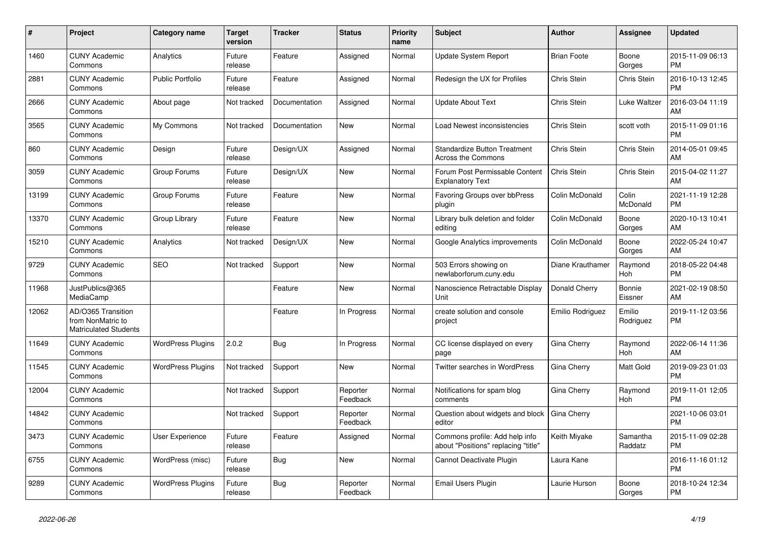| #     | Project                                                                 | Category name            | <b>Target</b><br>version | <b>Tracker</b> | <b>Status</b>        | <b>Priority</b><br>name | <b>Subject</b>                                                        | <b>Author</b>      | <b>Assignee</b>     | <b>Updated</b>                |
|-------|-------------------------------------------------------------------------|--------------------------|--------------------------|----------------|----------------------|-------------------------|-----------------------------------------------------------------------|--------------------|---------------------|-------------------------------|
| 1460  | <b>CUNY Academic</b><br>Commons                                         | Analytics                | Future<br>release        | Feature        | Assigned             | Normal                  | Update System Report                                                  | <b>Brian Foote</b> | Boone<br>Gorges     | 2015-11-09 06:13<br><b>PM</b> |
| 2881  | <b>CUNY Academic</b><br>Commons                                         | <b>Public Portfolio</b>  | Future<br>release        | Feature        | Assigned             | Normal                  | Redesign the UX for Profiles                                          | <b>Chris Stein</b> | Chris Stein         | 2016-10-13 12:45<br><b>PM</b> |
| 2666  | <b>CUNY Academic</b><br>Commons                                         | About page               | Not tracked              | Documentation  | Assigned             | Normal                  | Update About Text                                                     | <b>Chris Stein</b> | Luke Waltzer        | 2016-03-04 11:19<br>AM        |
| 3565  | <b>CUNY Academic</b><br>Commons                                         | My Commons               | Not tracked              | Documentation  | <b>New</b>           | Normal                  | Load Newest inconsistencies                                           | <b>Chris Stein</b> | scott voth          | 2015-11-09 01:16<br><b>PM</b> |
| 860   | <b>CUNY Academic</b><br>Commons                                         | Design                   | Future<br>release        | Design/UX      | Assigned             | Normal                  | <b>Standardize Button Treatment</b><br>Across the Commons             | <b>Chris Stein</b> | Chris Stein         | 2014-05-01 09:45<br>AM        |
| 3059  | <b>CUNY Academic</b><br>Commons                                         | Group Forums             | Future<br>release        | Design/UX      | New                  | Normal                  | Forum Post Permissable Content<br><b>Explanatory Text</b>             | Chris Stein        | Chris Stein         | 2015-04-02 11:27<br>AM        |
| 13199 | <b>CUNY Academic</b><br>Commons                                         | Group Forums             | Future<br>release        | Feature        | <b>New</b>           | Normal                  | Favoring Groups over bbPress<br>plugin                                | Colin McDonald     | Colin<br>McDonald   | 2021-11-19 12:28<br><b>PM</b> |
| 13370 | <b>CUNY Academic</b><br>Commons                                         | Group Library            | Future<br>release        | Feature        | <b>New</b>           | Normal                  | Library bulk deletion and folder<br>editing                           | Colin McDonald     | Boone<br>Gorges     | 2020-10-13 10:41<br>AM        |
| 15210 | <b>CUNY Academic</b><br>Commons                                         | Analytics                | Not tracked              | Design/UX      | <b>New</b>           | Normal                  | Google Analytics improvements                                         | Colin McDonald     | Boone<br>Gorges     | 2022-05-24 10:47<br>AM        |
| 9729  | <b>CUNY Academic</b><br>Commons                                         | <b>SEO</b>               | Not tracked              | Support        | <b>New</b>           | Normal                  | 503 Errors showing on<br>newlaborforum.cuny.edu                       | Diane Krauthamer   | Raymond<br>Hoh      | 2018-05-22 04:48<br><b>PM</b> |
| 11968 | JustPublics@365<br>MediaCamp                                            |                          |                          | Feature        | <b>New</b>           | Normal                  | Nanoscience Retractable Display<br>Unit                               | Donald Cherry      | Bonnie<br>Eissner   | 2021-02-19 08:50<br>AM        |
| 12062 | AD/O365 Transition<br>from NonMatric to<br><b>Matriculated Students</b> |                          |                          | Feature        | In Progress          | Normal                  | create solution and console<br>project                                | Emilio Rodriguez   | Emilio<br>Rodriguez | 2019-11-12 03:56<br><b>PM</b> |
| 11649 | <b>CUNY Academic</b><br>Commons                                         | <b>WordPress Plugins</b> | 2.0.2                    | <b>Bug</b>     | In Progress          | Normal                  | CC license displayed on every<br>page                                 | Gina Cherry        | Raymond<br>Hoh      | 2022-06-14 11:36<br>AM        |
| 11545 | <b>CUNY Academic</b><br>Commons                                         | <b>WordPress Plugins</b> | Not tracked              | Support        | New                  | Normal                  | <b>Twitter searches in WordPress</b>                                  | Gina Cherry        | Matt Gold           | 2019-09-23 01:03<br><b>PM</b> |
| 12004 | <b>CUNY Academic</b><br>Commons                                         |                          | Not tracked              | Support        | Reporter<br>Feedback | Normal                  | Notifications for spam blog<br>comments                               | Gina Cherry        | Raymond<br>Hoh      | 2019-11-01 12:05<br><b>PM</b> |
| 14842 | <b>CUNY Academic</b><br>Commons                                         |                          | Not tracked              | Support        | Reporter<br>Feedback | Normal                  | Question about widgets and block<br>editor                            | Gina Cherry        |                     | 2021-10-06 03:01<br><b>PM</b> |
| 3473  | <b>CUNY Academic</b><br>Commons                                         | <b>User Experience</b>   | Future<br>release        | Feature        | Assigned             | Normal                  | Commons profile: Add help info<br>about "Positions" replacing "title" | Keith Miyake       | Samantha<br>Raddatz | 2015-11-09 02:28<br><b>PM</b> |
| 6755  | <b>CUNY Academic</b><br>Commons                                         | WordPress (misc)         | Future<br>release        | Bug            | <b>New</b>           | Normal                  | Cannot Deactivate Plugin                                              | Laura Kane         |                     | 2016-11-16 01:12<br><b>PM</b> |
| 9289  | <b>CUNY Academic</b><br>Commons                                         | <b>WordPress Plugins</b> | Future<br>release        | <b>Bug</b>     | Reporter<br>Feedback | Normal                  | Email Users Plugin                                                    | Laurie Hurson      | Boone<br>Gorges     | 2018-10-24 12:34<br><b>PM</b> |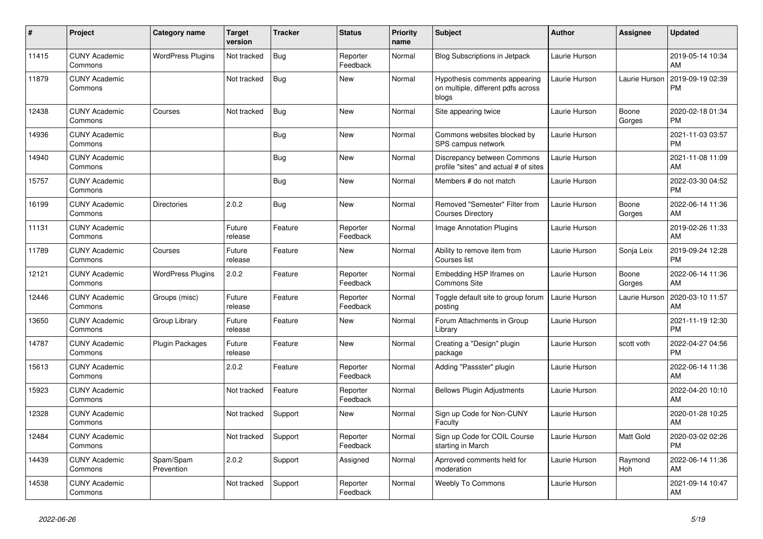| #     | Project                         | Category name            | <b>Target</b><br>version | Tracker    | <b>Status</b>        | <b>Priority</b><br>name | <b>Subject</b>                                                               | <b>Author</b> | Assignee              | <b>Updated</b>                |
|-------|---------------------------------|--------------------------|--------------------------|------------|----------------------|-------------------------|------------------------------------------------------------------------------|---------------|-----------------------|-------------------------------|
| 11415 | <b>CUNY Academic</b><br>Commons | <b>WordPress Plugins</b> | Not tracked              | <b>Bug</b> | Reporter<br>Feedback | Normal                  | <b>Blog Subscriptions in Jetpack</b>                                         | Laurie Hurson |                       | 2019-05-14 10:34<br>AM        |
| 11879 | <b>CUNY Academic</b><br>Commons |                          | Not tracked              | Bug        | <b>New</b>           | Normal                  | Hypothesis comments appearing<br>on multiple, different pdfs across<br>blogs | Laurie Hurson | Laurie Hurson         | 2019-09-19 02:39<br><b>PM</b> |
| 12438 | <b>CUNY Academic</b><br>Commons | Courses                  | Not tracked              | Bug        | <b>New</b>           | Normal                  | Site appearing twice                                                         | Laurie Hurson | Boone<br>Gorges       | 2020-02-18 01:34<br><b>PM</b> |
| 14936 | <b>CUNY Academic</b><br>Commons |                          |                          | <b>Bug</b> | <b>New</b>           | Normal                  | Commons websites blocked by<br>SPS campus network                            | Laurie Hurson |                       | 2021-11-03 03:57<br><b>PM</b> |
| 14940 | <b>CUNY Academic</b><br>Commons |                          |                          | Bug        | New                  | Normal                  | Discrepancy between Commons<br>profile "sites" and actual # of sites         | Laurie Hurson |                       | 2021-11-08 11:09<br>AM        |
| 15757 | <b>CUNY Academic</b><br>Commons |                          |                          | <b>Bug</b> | <b>New</b>           | Normal                  | Members # do not match                                                       | Laurie Hurson |                       | 2022-03-30 04:52<br><b>PM</b> |
| 16199 | <b>CUNY Academic</b><br>Commons | <b>Directories</b>       | 2.0.2                    | <b>Bug</b> | <b>New</b>           | Normal                  | Removed "Semester" Filter from<br><b>Courses Directory</b>                   | Laurie Hurson | Boone<br>Gorges       | 2022-06-14 11:36<br>AM        |
| 11131 | <b>CUNY Academic</b><br>Commons |                          | Future<br>release        | Feature    | Reporter<br>Feedback | Normal                  | <b>Image Annotation Plugins</b>                                              | Laurie Hurson |                       | 2019-02-26 11:33<br>AM        |
| 11789 | <b>CUNY Academic</b><br>Commons | Courses                  | Future<br>release        | Feature    | New                  | Normal                  | Ability to remove item from<br>Courses list                                  | Laurie Hurson | Sonja Leix            | 2019-09-24 12:28<br><b>PM</b> |
| 12121 | <b>CUNY Academic</b><br>Commons | <b>WordPress Plugins</b> | 2.0.2                    | Feature    | Reporter<br>Feedback | Normal                  | Embedding H5P Iframes on<br><b>Commons Site</b>                              | Laurie Hurson | Boone<br>Gorges       | 2022-06-14 11:36<br>AM        |
| 12446 | <b>CUNY Academic</b><br>Commons | Groups (misc)            | Future<br>release        | Feature    | Reporter<br>Feedback | Normal                  | Toggle default site to group forum<br>posting                                | Laurie Hurson | Laurie Hurson         | 2020-03-10 11:57<br>AM        |
| 13650 | <b>CUNY Academic</b><br>Commons | Group Library            | Future<br>release        | Feature    | <b>New</b>           | Normal                  | Forum Attachments in Group<br>Library                                        | Laurie Hurson |                       | 2021-11-19 12:30<br><b>PM</b> |
| 14787 | <b>CUNY Academic</b><br>Commons | Plugin Packages          | Future<br>release        | Feature    | <b>New</b>           | Normal                  | Creating a "Design" plugin<br>package                                        | Laurie Hurson | scott voth            | 2022-04-27 04:56<br><b>PM</b> |
| 15613 | <b>CUNY Academic</b><br>Commons |                          | 2.0.2                    | Feature    | Reporter<br>Feedback | Normal                  | Adding "Passster" plugin                                                     | Laurie Hurson |                       | 2022-06-14 11:36<br>AM        |
| 15923 | <b>CUNY Academic</b><br>Commons |                          | Not tracked              | Feature    | Reporter<br>Feedback | Normal                  | <b>Bellows Plugin Adjustments</b>                                            | Laurie Hurson |                       | 2022-04-20 10:10<br>AM        |
| 12328 | <b>CUNY Academic</b><br>Commons |                          | Not tracked              | Support    | <b>New</b>           | Normal                  | Sign up Code for Non-CUNY<br>Faculty                                         | Laurie Hurson |                       | 2020-01-28 10:25<br>AM        |
| 12484 | <b>CUNY Academic</b><br>Commons |                          | Not tracked              | Support    | Reporter<br>Feedback | Normal                  | Sign up Code for COIL Course<br>starting in March                            | Laurie Hurson | <b>Matt Gold</b>      | 2020-03-02 02:26<br><b>PM</b> |
| 14439 | <b>CUNY Academic</b><br>Commons | Spam/Spam<br>Prevention  | 2.0.2                    | Support    | Assigned             | Normal                  | Aprroved comments held for<br>moderation                                     | Laurie Hurson | Raymond<br><b>Hoh</b> | 2022-06-14 11:36<br>AM        |
| 14538 | <b>CUNY Academic</b><br>Commons |                          | Not tracked              | Support    | Reporter<br>Feedback | Normal                  | <b>Weebly To Commons</b>                                                     | Laurie Hurson |                       | 2021-09-14 10:47<br>AM        |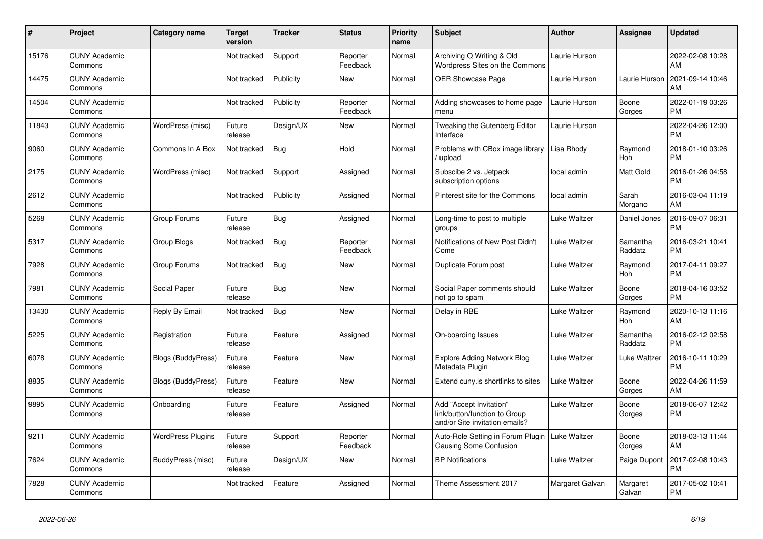| #     | <b>Project</b>                  | <b>Category name</b>      | <b>Target</b><br>version | Tracker    | <b>Status</b>        | <b>Priority</b><br>name | <b>Subject</b>                                                                             | <b>Author</b>   | <b>Assignee</b>     | <b>Updated</b>                |
|-------|---------------------------------|---------------------------|--------------------------|------------|----------------------|-------------------------|--------------------------------------------------------------------------------------------|-----------------|---------------------|-------------------------------|
| 15176 | <b>CUNY Academic</b><br>Commons |                           | Not tracked              | Support    | Reporter<br>Feedback | Normal                  | Archiving Q Writing & Old<br>Wordpress Sites on the Commons                                | Laurie Hurson   |                     | 2022-02-08 10:28<br>AM        |
| 14475 | <b>CUNY Academic</b><br>Commons |                           | Not tracked              | Publicity  | <b>New</b>           | Normal                  | <b>OER Showcase Page</b>                                                                   | Laurie Hurson   | Laurie Hurson       | 2021-09-14 10:46<br>AM        |
| 14504 | <b>CUNY Academic</b><br>Commons |                           | Not tracked              | Publicity  | Reporter<br>Feedback | Normal                  | Adding showcases to home page<br>menu                                                      | Laurie Hurson   | Boone<br>Gorges     | 2022-01-19 03:26<br><b>PM</b> |
| 11843 | <b>CUNY Academic</b><br>Commons | WordPress (misc)          | Future<br>release        | Design/UX  | <b>New</b>           | Normal                  | Tweaking the Gutenberg Editor<br>Interface                                                 | Laurie Hurson   |                     | 2022-04-26 12:00<br><b>PM</b> |
| 9060  | <b>CUNY Academic</b><br>Commons | Commons In A Box          | Not tracked              | Bug        | Hold                 | Normal                  | Problems with CBox image library<br>upload                                                 | Lisa Rhody      | Raymond<br>Hoh      | 2018-01-10 03:26<br><b>PM</b> |
| 2175  | <b>CUNY Academic</b><br>Commons | WordPress (misc)          | Not tracked              | Support    | Assigned             | Normal                  | Subscibe 2 vs. Jetpack<br>subscription options                                             | local admin     | Matt Gold           | 2016-01-26 04:58<br><b>PM</b> |
| 2612  | <b>CUNY Academic</b><br>Commons |                           | Not tracked              | Publicity  | Assigned             | Normal                  | Pinterest site for the Commons                                                             | local admin     | Sarah<br>Morgano    | 2016-03-04 11:19<br>AM        |
| 5268  | <b>CUNY Academic</b><br>Commons | Group Forums              | Future<br>release        | <b>Bug</b> | Assigned             | Normal                  | Long-time to post to multiple<br>groups                                                    | Luke Waltzer    | Daniel Jones        | 2016-09-07 06:31<br><b>PM</b> |
| 5317  | <b>CUNY Academic</b><br>Commons | Group Blogs               | Not tracked              | <b>Bug</b> | Reporter<br>Feedback | Normal                  | Notifications of New Post Didn't<br>Come                                                   | Luke Waltzer    | Samantha<br>Raddatz | 2016-03-21 10:41<br><b>PM</b> |
| 7928  | <b>CUNY Academic</b><br>Commons | Group Forums              | Not tracked              | Bug        | New                  | Normal                  | Duplicate Forum post                                                                       | Luke Waltzer    | Raymond<br>Hoh      | 2017-04-11 09:27<br><b>PM</b> |
| 7981  | <b>CUNY Academic</b><br>Commons | Social Paper              | Future<br>release        | <b>Bug</b> | <b>New</b>           | Normal                  | Social Paper comments should<br>not go to spam                                             | Luke Waltzer    | Boone<br>Gorges     | 2018-04-16 03:52<br><b>PM</b> |
| 13430 | <b>CUNY Academic</b><br>Commons | Reply By Email            | Not tracked              | <b>Bug</b> | <b>New</b>           | Normal                  | Delay in RBE                                                                               | Luke Waltzer    | Raymond<br>Hoh      | 2020-10-13 11:16<br>AM        |
| 5225  | <b>CUNY Academic</b><br>Commons | Registration              | Future<br>release        | Feature    | Assigned             | Normal                  | On-boarding Issues                                                                         | Luke Waltzer    | Samantha<br>Raddatz | 2016-02-12 02:58<br><b>PM</b> |
| 6078  | <b>CUNY Academic</b><br>Commons | <b>Blogs (BuddyPress)</b> | Future<br>release        | Feature    | <b>New</b>           | Normal                  | <b>Explore Adding Network Blog</b><br>Metadata Plugin                                      | Luke Waltzer    | Luke Waltzer        | 2016-10-11 10:29<br><b>PM</b> |
| 8835  | <b>CUNY Academic</b><br>Commons | Blogs (BuddyPress)        | Future<br>release        | Feature    | <b>New</b>           | Normal                  | Extend cuny is shortlinks to sites                                                         | Luke Waltzer    | Boone<br>Gorges     | 2022-04-26 11:59<br>AM        |
| 9895  | <b>CUNY Academic</b><br>Commons | Onboarding                | Future<br>release        | Feature    | Assigned             | Normal                  | Add "Accept Invitation"<br>link/button/function to Group<br>and/or Site invitation emails? | Luke Waltzer    | Boone<br>Gorges     | 2018-06-07 12:42<br><b>PM</b> |
| 9211  | <b>CUNY Academic</b><br>Commons | <b>WordPress Plugins</b>  | Future<br>release        | Support    | Reporter<br>Feedback | Normal                  | Auto-Role Setting in Forum Plugin<br>Causing Some Confusion                                | Luke Waltzer    | Boone<br>Gorges     | 2018-03-13 11:44<br>AM        |
| 7624  | <b>CUNY Academic</b><br>Commons | BuddyPress (misc)         | Future<br>release        | Design/UX  | <b>New</b>           | Normal                  | <b>BP</b> Notifications                                                                    | Luke Waltzer    | Paige Dupont        | 2017-02-08 10:43<br><b>PM</b> |
| 7828  | <b>CUNY Academic</b><br>Commons |                           | Not tracked              | Feature    | Assigned             | Normal                  | Theme Assessment 2017                                                                      | Margaret Galvan | Margaret<br>Galvan  | 2017-05-02 10:41<br><b>PM</b> |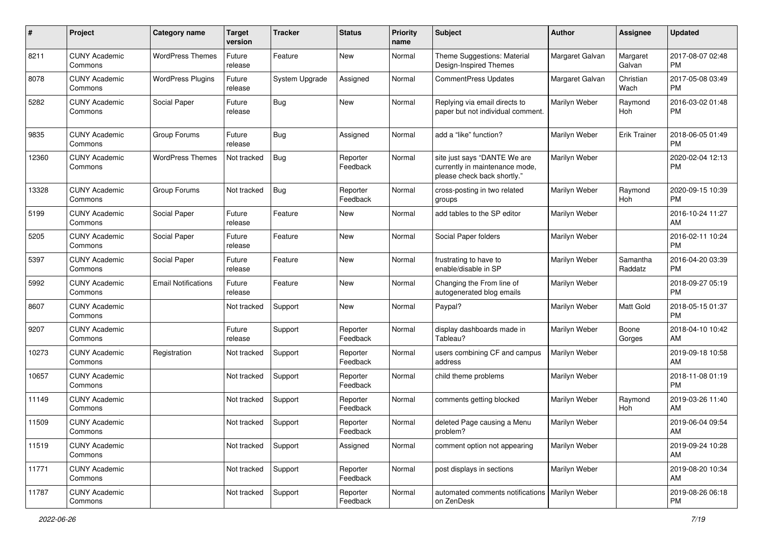| #     | Project                         | <b>Category name</b>       | <b>Target</b><br>version | <b>Tracker</b> | <b>Status</b>        | <b>Priority</b><br>name | <b>Subject</b>                                                                                | Author          | Assignee            | <b>Updated</b>                |
|-------|---------------------------------|----------------------------|--------------------------|----------------|----------------------|-------------------------|-----------------------------------------------------------------------------------------------|-----------------|---------------------|-------------------------------|
| 8211  | <b>CUNY Academic</b><br>Commons | <b>WordPress Themes</b>    | Future<br>release        | Feature        | <b>New</b>           | Normal                  | Theme Suggestions: Material<br>Design-Inspired Themes                                         | Margaret Galvan | Margaret<br>Galvan  | 2017-08-07 02:48<br><b>PM</b> |
| 8078  | <b>CUNY Academic</b><br>Commons | <b>WordPress Plugins</b>   | Future<br>release        | System Upgrade | Assigned             | Normal                  | <b>CommentPress Updates</b>                                                                   | Margaret Galvan | Christian<br>Wach   | 2017-05-08 03:49<br><b>PM</b> |
| 5282  | <b>CUNY Academic</b><br>Commons | Social Paper               | Future<br>release        | Bug            | <b>New</b>           | Normal                  | Replying via email directs to<br>paper but not individual comment.                            | Marilyn Weber   | Raymond<br>Hoh      | 2016-03-02 01:48<br><b>PM</b> |
| 9835  | <b>CUNY Academic</b><br>Commons | Group Forums               | Future<br>release        | <b>Bug</b>     | Assigned             | Normal                  | add a "like" function?                                                                        | Marilyn Weber   | Erik Trainer        | 2018-06-05 01:49<br><b>PM</b> |
| 12360 | <b>CUNY Academic</b><br>Commons | <b>WordPress Themes</b>    | Not tracked              | Bug            | Reporter<br>Feedback | Normal                  | site just says "DANTE We are<br>currently in maintenance mode,<br>please check back shortly." | Marilyn Weber   |                     | 2020-02-04 12:13<br><b>PM</b> |
| 13328 | <b>CUNY Academic</b><br>Commons | Group Forums               | Not tracked              | Bug            | Reporter<br>Feedback | Normal                  | cross-posting in two related<br>groups                                                        | Marilyn Weber   | Raymond<br>Hoh      | 2020-09-15 10:39<br><b>PM</b> |
| 5199  | <b>CUNY Academic</b><br>Commons | Social Paper               | Future<br>release        | Feature        | <b>New</b>           | Normal                  | add tables to the SP editor                                                                   | Marilyn Weber   |                     | 2016-10-24 11:27<br>AM        |
| 5205  | <b>CUNY Academic</b><br>Commons | Social Paper               | Future<br>release        | Feature        | <b>New</b>           | Normal                  | Social Paper folders                                                                          | Marilyn Weber   |                     | 2016-02-11 10:24<br><b>PM</b> |
| 5397  | <b>CUNY Academic</b><br>Commons | Social Paper               | Future<br>release        | Feature        | <b>New</b>           | Normal                  | frustrating to have to<br>enable/disable in SP                                                | Marilyn Weber   | Samantha<br>Raddatz | 2016-04-20 03:39<br><b>PM</b> |
| 5992  | <b>CUNY Academic</b><br>Commons | <b>Email Notifications</b> | Future<br>release        | Feature        | <b>New</b>           | Normal                  | Changing the From line of<br>autogenerated blog emails                                        | Marilyn Weber   |                     | 2018-09-27 05:19<br><b>PM</b> |
| 8607  | <b>CUNY Academic</b><br>Commons |                            | Not tracked              | Support        | <b>New</b>           | Normal                  | Paypal?                                                                                       | Marilyn Weber   | Matt Gold           | 2018-05-15 01:37<br><b>PM</b> |
| 9207  | <b>CUNY Academic</b><br>Commons |                            | Future<br>release        | Support        | Reporter<br>Feedback | Normal                  | display dashboards made in<br>Tableau?                                                        | Marilyn Weber   | Boone<br>Gorges     | 2018-04-10 10:42<br>AM        |
| 10273 | <b>CUNY Academic</b><br>Commons | Registration               | Not tracked              | Support        | Reporter<br>Feedback | Normal                  | users combining CF and campus<br>address                                                      | Marilyn Weber   |                     | 2019-09-18 10:58<br>AM        |
| 10657 | <b>CUNY Academic</b><br>Commons |                            | Not tracked              | Support        | Reporter<br>Feedback | Normal                  | child theme problems                                                                          | Marilyn Weber   |                     | 2018-11-08 01:19<br><b>PM</b> |
| 11149 | <b>CUNY Academic</b><br>Commons |                            | Not tracked              | Support        | Reporter<br>Feedback | Normal                  | comments getting blocked                                                                      | Marilyn Weber   | Raymond<br>Hoh      | 2019-03-26 11:40<br>AM        |
| 11509 | <b>CUNY Academic</b><br>Commons |                            | Not tracked              | Support        | Reporter<br>Feedback | Normal                  | deleted Page causing a Menu<br>problem?                                                       | Marilyn Weber   |                     | 2019-06-04 09:54<br>AM        |
| 11519 | <b>CUNY Academic</b><br>Commons |                            | Not tracked              | Support        | Assigned             | Normal                  | comment option not appearing                                                                  | Marilyn Weber   |                     | 2019-09-24 10:28<br>AM        |
| 11771 | <b>CUNY Academic</b><br>Commons |                            | Not tracked              | Support        | Reporter<br>Feedback | Normal                  | post displays in sections                                                                     | Marilyn Weber   |                     | 2019-08-20 10:34<br>AM        |
| 11787 | <b>CUNY Academic</b><br>Commons |                            | Not tracked              | Support        | Reporter<br>Feedback | Normal                  | automated comments notifications   Marilyn Weber<br>on ZenDesk                                |                 |                     | 2019-08-26 06:18<br>PM        |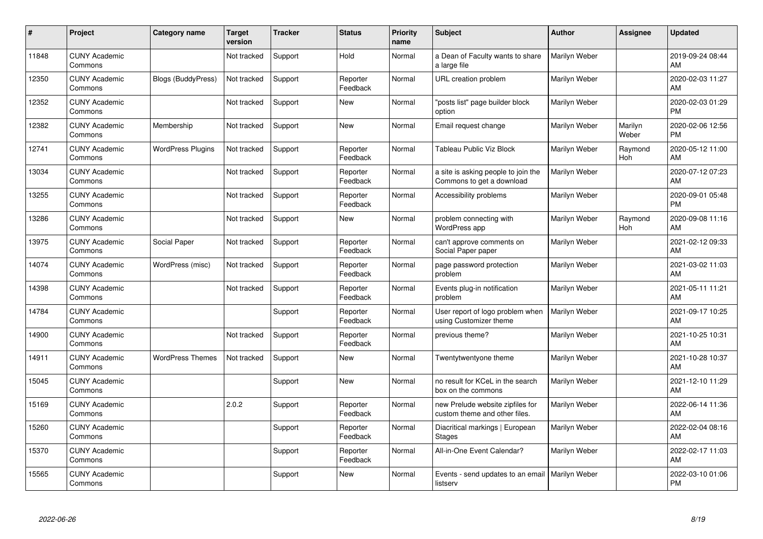| #     | Project                         | <b>Category name</b>      | <b>Target</b><br>version | <b>Tracker</b> | <b>Status</b>        | <b>Priority</b><br>name | <b>Subject</b>                                                    | <b>Author</b> | <b>Assignee</b>  | <b>Updated</b>                |
|-------|---------------------------------|---------------------------|--------------------------|----------------|----------------------|-------------------------|-------------------------------------------------------------------|---------------|------------------|-------------------------------|
| 11848 | <b>CUNY Academic</b><br>Commons |                           | Not tracked              | Support        | Hold                 | Normal                  | a Dean of Faculty wants to share<br>a large file                  | Marilyn Weber |                  | 2019-09-24 08:44<br>AM        |
| 12350 | <b>CUNY Academic</b><br>Commons | <b>Blogs (BuddyPress)</b> | Not tracked              | Support        | Reporter<br>Feedback | Normal                  | URL creation problem                                              | Marilyn Weber |                  | 2020-02-03 11:27<br>AM        |
| 12352 | <b>CUNY Academic</b><br>Commons |                           | Not tracked              | Support        | <b>New</b>           | Normal                  | 'posts list" page builder block<br>option                         | Marilyn Weber |                  | 2020-02-03 01:29<br><b>PM</b> |
| 12382 | <b>CUNY Academic</b><br>Commons | Membership                | Not tracked              | Support        | <b>New</b>           | Normal                  | Email request change                                              | Marilyn Weber | Marilyn<br>Weber | 2020-02-06 12:56<br><b>PM</b> |
| 12741 | <b>CUNY Academic</b><br>Commons | <b>WordPress Plugins</b>  | Not tracked              | Support        | Reporter<br>Feedback | Normal                  | Tableau Public Viz Block                                          | Marilyn Weber | Raymond<br>Hoh   | 2020-05-12 11:00<br>AM        |
| 13034 | <b>CUNY Academic</b><br>Commons |                           | Not tracked              | Support        | Reporter<br>Feedback | Normal                  | a site is asking people to join the<br>Commons to get a download  | Marilyn Weber |                  | 2020-07-12 07:23<br>AM        |
| 13255 | <b>CUNY Academic</b><br>Commons |                           | Not tracked              | Support        | Reporter<br>Feedback | Normal                  | Accessibility problems                                            | Marilyn Weber |                  | 2020-09-01 05:48<br>PM        |
| 13286 | <b>CUNY Academic</b><br>Commons |                           | Not tracked              | Support        | <b>New</b>           | Normal                  | problem connecting with<br><b>WordPress app</b>                   | Marilyn Weber | Raymond<br>Hoh   | 2020-09-08 11:16<br>AM        |
| 13975 | <b>CUNY Academic</b><br>Commons | Social Paper              | Not tracked              | Support        | Reporter<br>Feedback | Normal                  | can't approve comments on<br>Social Paper paper                   | Marilyn Weber |                  | 2021-02-12 09:33<br>AM        |
| 14074 | <b>CUNY Academic</b><br>Commons | WordPress (misc)          | Not tracked              | Support        | Reporter<br>Feedback | Normal                  | page password protection<br>problem                               | Marilyn Weber |                  | 2021-03-02 11:03<br>AM        |
| 14398 | <b>CUNY Academic</b><br>Commons |                           | Not tracked              | Support        | Reporter<br>Feedback | Normal                  | Events plug-in notification<br>problem                            | Marilyn Weber |                  | 2021-05-11 11:21<br>AM        |
| 14784 | <b>CUNY Academic</b><br>Commons |                           |                          | Support        | Reporter<br>Feedback | Normal                  | User report of logo problem when<br>using Customizer theme        | Marilyn Weber |                  | 2021-09-17 10:25<br>AM        |
| 14900 | <b>CUNY Academic</b><br>Commons |                           | Not tracked              | Support        | Reporter<br>Feedback | Normal                  | previous theme?                                                   | Marilyn Weber |                  | 2021-10-25 10:31<br>AM        |
| 14911 | <b>CUNY Academic</b><br>Commons | <b>WordPress Themes</b>   | Not tracked              | Support        | <b>New</b>           | Normal                  | Twentytwentyone theme                                             | Marilyn Weber |                  | 2021-10-28 10:37<br>AM        |
| 15045 | <b>CUNY Academic</b><br>Commons |                           |                          | Support        | New                  | Normal                  | no result for KCeL in the search<br>box on the commons            | Marilyn Weber |                  | 2021-12-10 11:29<br>AM        |
| 15169 | <b>CUNY Academic</b><br>Commons |                           | 2.0.2                    | Support        | Reporter<br>Feedback | Normal                  | new Prelude website zipfiles for<br>custom theme and other files. | Marilyn Weber |                  | 2022-06-14 11:36<br>AM        |
| 15260 | <b>CUNY Academic</b><br>Commons |                           |                          | Support        | Reporter<br>Feedback | Normal                  | Diacritical markings   European<br><b>Stages</b>                  | Marilyn Weber |                  | 2022-02-04 08:16<br>AM        |
| 15370 | <b>CUNY Academic</b><br>Commons |                           |                          | Support        | Reporter<br>Feedback | Normal                  | All-in-One Event Calendar?                                        | Marilyn Weber |                  | 2022-02-17 11:03<br>AM        |
| 15565 | <b>CUNY Academic</b><br>Commons |                           |                          | Support        | <b>New</b>           | Normal                  | Events - send updates to an email   Marilyn Weber<br>listserv     |               |                  | 2022-03-10 01:06<br>PM        |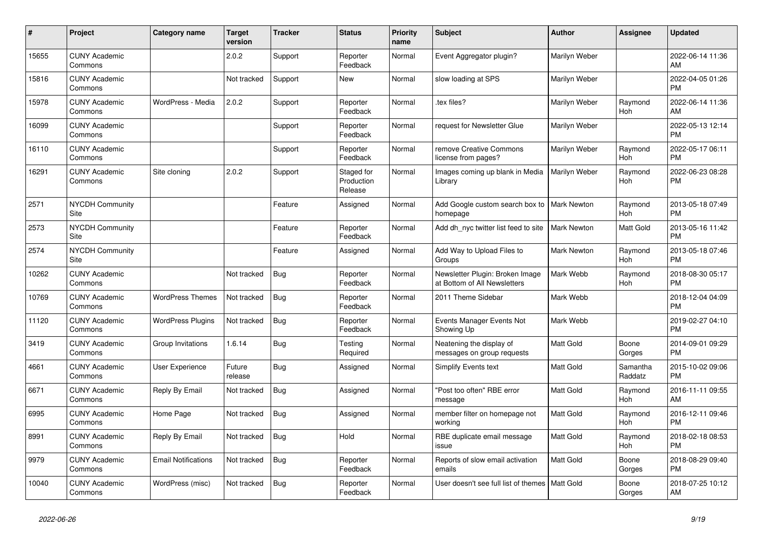| #     | Project                         | <b>Category name</b>       | <b>Target</b><br>version | <b>Tracker</b> | <b>Status</b>                       | <b>Priority</b><br>name | <b>Subject</b>                                                  | Author             | <b>Assignee</b>       | <b>Updated</b>                |
|-------|---------------------------------|----------------------------|--------------------------|----------------|-------------------------------------|-------------------------|-----------------------------------------------------------------|--------------------|-----------------------|-------------------------------|
| 15655 | <b>CUNY Academic</b><br>Commons |                            | 2.0.2                    | Support        | Reporter<br>Feedback                | Normal                  | Event Aggregator plugin?                                        | Marilyn Weber      |                       | 2022-06-14 11:36<br>AM        |
| 15816 | <b>CUNY Academic</b><br>Commons |                            | Not tracked              | Support        | <b>New</b>                          | Normal                  | slow loading at SPS                                             | Marilyn Weber      |                       | 2022-04-05 01:26<br><b>PM</b> |
| 15978 | <b>CUNY Academic</b><br>Commons | WordPress - Media          | 2.0.2                    | Support        | Reporter<br>Feedback                | Normal                  | tex files?                                                      | Marilyn Weber      | Raymond<br>Hoh        | 2022-06-14 11:36<br>AM        |
| 16099 | <b>CUNY Academic</b><br>Commons |                            |                          | Support        | Reporter<br>Feedback                | Normal                  | request for Newsletter Glue                                     | Marilyn Weber      |                       | 2022-05-13 12:14<br><b>PM</b> |
| 16110 | <b>CUNY Academic</b><br>Commons |                            |                          | Support        | Reporter<br>Feedback                | Normal                  | remove Creative Commons<br>license from pages?                  | Marilyn Weber      | Raymond<br><b>Hoh</b> | 2022-05-17 06:11<br><b>PM</b> |
| 16291 | <b>CUNY Academic</b><br>Commons | Site cloning               | 2.0.2                    | Support        | Staged for<br>Production<br>Release | Normal                  | Images coming up blank in Media<br>Library                      | Marilyn Weber      | Raymond<br><b>Hoh</b> | 2022-06-23 08:28<br><b>PM</b> |
| 2571  | <b>NYCDH Community</b><br>Site  |                            |                          | Feature        | Assigned                            | Normal                  | Add Google custom search box to<br>homepage                     | Mark Newton        | Raymond<br>Hoh        | 2013-05-18 07:49<br><b>PM</b> |
| 2573  | NYCDH Community<br>Site         |                            |                          | Feature        | Reporter<br>Feedback                | Normal                  | Add dh nyc twitter list feed to site                            | Mark Newton        | <b>Matt Gold</b>      | 2013-05-16 11:42<br><b>PM</b> |
| 2574  | <b>NYCDH Community</b><br>Site  |                            |                          | Feature        | Assigned                            | Normal                  | Add Way to Upload Files to<br>Groups                            | <b>Mark Newton</b> | Raymond<br><b>Hoh</b> | 2013-05-18 07:46<br><b>PM</b> |
| 10262 | <b>CUNY Academic</b><br>Commons |                            | Not tracked              | <b>Bug</b>     | Reporter<br>Feedback                | Normal                  | Newsletter Plugin: Broken Image<br>at Bottom of All Newsletters | Mark Webb          | Raymond<br>Hoh        | 2018-08-30 05:17<br><b>PM</b> |
| 10769 | <b>CUNY Academic</b><br>Commons | <b>WordPress Themes</b>    | Not tracked              | Bug            | Reporter<br>Feedback                | Normal                  | 2011 Theme Sidebar                                              | Mark Webb          |                       | 2018-12-04 04:09<br><b>PM</b> |
| 11120 | <b>CUNY Academic</b><br>Commons | <b>WordPress Plugins</b>   | Not tracked              | <b>Bug</b>     | Reporter<br>Feedback                | Normal                  | Events Manager Events Not<br>Showing Up                         | Mark Webb          |                       | 2019-02-27 04:10<br><b>PM</b> |
| 3419  | <b>CUNY Academic</b><br>Commons | Group Invitations          | 1.6.14                   | <b>Bug</b>     | Testing<br>Required                 | Normal                  | Neatening the display of<br>messages on group requests          | Matt Gold          | Boone<br>Gorges       | 2014-09-01 09:29<br><b>PM</b> |
| 4661  | <b>CUNY Academic</b><br>Commons | User Experience            | Future<br>release        | <b>Bug</b>     | Assigned                            | Normal                  | Simplify Events text                                            | Matt Gold          | Samantha<br>Raddatz   | 2015-10-02 09:06<br><b>PM</b> |
| 6671  | <b>CUNY Academic</b><br>Commons | Reply By Email             | Not tracked              | Bug            | Assigned                            | Normal                  | 'Post too often" RBE error<br>message                           | <b>Matt Gold</b>   | Raymond<br>Hoh        | 2016-11-11 09:55<br>AM        |
| 6995  | <b>CUNY Academic</b><br>Commons | Home Page                  | Not tracked              | Bug            | Assigned                            | Normal                  | member filter on homepage not<br>working                        | Matt Gold          | Raymond<br><b>Hoh</b> | 2016-12-11 09:46<br><b>PM</b> |
| 8991  | <b>CUNY Academic</b><br>Commons | Reply By Email             | Not tracked              | Bug            | Hold                                | Normal                  | RBE duplicate email message<br>issue                            | Matt Gold          | Raymond<br>Hoh        | 2018-02-18 08:53<br><b>PM</b> |
| 9979  | <b>CUNY Academic</b><br>Commons | <b>Email Notifications</b> | Not tracked              | Bug            | Reporter<br>Feedback                | Normal                  | Reports of slow email activation<br>emails                      | Matt Gold          | Boone<br>Gorges       | 2018-08-29 09:40<br><b>PM</b> |
| 10040 | <b>CUNY Academic</b><br>Commons | WordPress (misc)           | Not tracked              | <b>Bug</b>     | Reporter<br>Feedback                | Normal                  | User doesn't see full list of themes                            | Matt Gold          | Boone<br>Gorges       | 2018-07-25 10:12<br>AM        |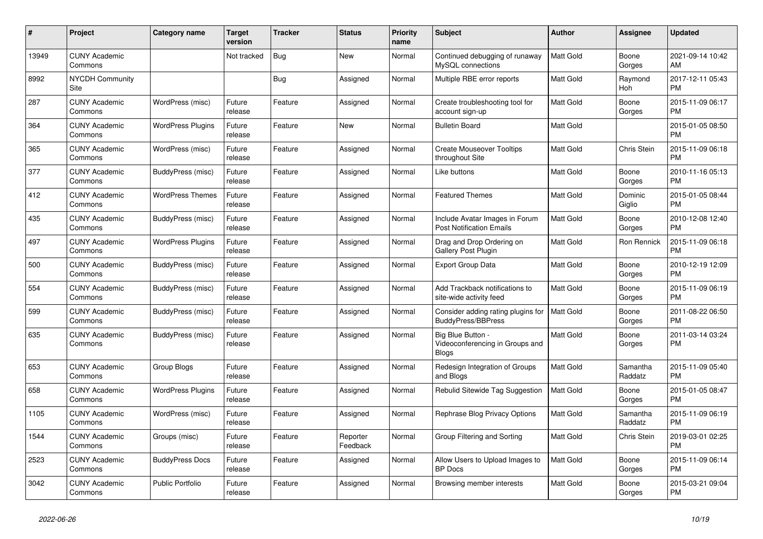| #     | <b>Project</b>                  | <b>Category name</b>     | <b>Target</b><br>version | Tracker    | <b>Status</b>        | <b>Priority</b><br>name | <b>Subject</b>                                                       | <b>Author</b>    | Assignee            | <b>Updated</b>                |
|-------|---------------------------------|--------------------------|--------------------------|------------|----------------------|-------------------------|----------------------------------------------------------------------|------------------|---------------------|-------------------------------|
| 13949 | <b>CUNY Academic</b><br>Commons |                          | Not tracked              | <b>Bug</b> | <b>New</b>           | Normal                  | Continued debugging of runaway<br>MySQL connections                  | <b>Matt Gold</b> | Boone<br>Gorges     | 2021-09-14 10:42<br>AM        |
| 8992  | <b>NYCDH Community</b><br>Site  |                          |                          | <b>Bug</b> | Assigned             | Normal                  | Multiple RBE error reports                                           | Matt Gold        | Raymond<br>Hoh      | 2017-12-11 05:43<br><b>PM</b> |
| 287   | <b>CUNY Academic</b><br>Commons | WordPress (misc)         | Future<br>release        | Feature    | Assigned             | Normal                  | Create troubleshooting tool for<br>account sign-up                   | Matt Gold        | Boone<br>Gorges     | 2015-11-09 06:17<br><b>PM</b> |
| 364   | <b>CUNY Academic</b><br>Commons | <b>WordPress Plugins</b> | Future<br>release        | Feature    | <b>New</b>           | Normal                  | <b>Bulletin Board</b>                                                | Matt Gold        |                     | 2015-01-05 08:50<br><b>PM</b> |
| 365   | <b>CUNY Academic</b><br>Commons | WordPress (misc)         | Future<br>release        | Feature    | Assigned             | Normal                  | <b>Create Mouseover Tooltips</b><br>throughout Site                  | Matt Gold        | Chris Stein         | 2015-11-09 06:18<br><b>PM</b> |
| 377   | <b>CUNY Academic</b><br>Commons | BuddyPress (misc)        | Future<br>release        | Feature    | Assigned             | Normal                  | Like buttons                                                         | Matt Gold        | Boone<br>Gorges     | 2010-11-16 05:13<br><b>PM</b> |
| 412   | <b>CUNY Academic</b><br>Commons | <b>WordPress Themes</b>  | Future<br>release        | Feature    | Assigned             | Normal                  | <b>Featured Themes</b>                                               | Matt Gold        | Dominic<br>Giglio   | 2015-01-05 08:44<br><b>PM</b> |
| 435   | <b>CUNY Academic</b><br>Commons | BuddyPress (misc)        | Future<br>release        | Feature    | Assigned             | Normal                  | Include Avatar Images in Forum<br><b>Post Notification Emails</b>    | <b>Matt Gold</b> | Boone<br>Gorges     | 2010-12-08 12:40<br><b>PM</b> |
| 497   | <b>CUNY Academic</b><br>Commons | <b>WordPress Plugins</b> | Future<br>release        | Feature    | Assigned             | Normal                  | Drag and Drop Ordering on<br><b>Gallery Post Plugin</b>              | Matt Gold        | Ron Rennick         | 2015-11-09 06:18<br><b>PM</b> |
| 500   | <b>CUNY Academic</b><br>Commons | BuddyPress (misc)        | Future<br>release        | Feature    | Assigned             | Normal                  | <b>Export Group Data</b>                                             | Matt Gold        | Boone<br>Gorges     | 2010-12-19 12:09<br><b>PM</b> |
| 554   | <b>CUNY Academic</b><br>Commons | BuddyPress (misc)        | Future<br>release        | Feature    | Assigned             | Normal                  | Add Trackback notifications to<br>site-wide activity feed            | Matt Gold        | Boone<br>Gorges     | 2015-11-09 06:19<br><b>PM</b> |
| 599   | <b>CUNY Academic</b><br>Commons | BuddyPress (misc)        | Future<br>release        | Feature    | Assigned             | Normal                  | Consider adding rating plugins for<br><b>BuddyPress/BBPress</b>      | <b>Matt Gold</b> | Boone<br>Gorges     | 2011-08-22 06:50<br><b>PM</b> |
| 635   | <b>CUNY Academic</b><br>Commons | BuddyPress (misc)        | Future<br>release        | Feature    | Assigned             | Normal                  | Big Blue Button -<br>Videoconferencing in Groups and<br><b>Blogs</b> | Matt Gold        | Boone<br>Gorges     | 2011-03-14 03:24<br><b>PM</b> |
| 653   | <b>CUNY Academic</b><br>Commons | Group Blogs              | Future<br>release        | Feature    | Assigned             | Normal                  | Redesign Integration of Groups<br>and Blogs                          | Matt Gold        | Samantha<br>Raddatz | 2015-11-09 05:40<br><b>PM</b> |
| 658   | <b>CUNY Academic</b><br>Commons | <b>WordPress Plugins</b> | Future<br>release        | Feature    | Assigned             | Normal                  | Rebulid Sitewide Tag Suggestion                                      | <b>Matt Gold</b> | Boone<br>Gorges     | 2015-01-05 08:47<br><b>PM</b> |
| 1105  | <b>CUNY Academic</b><br>Commons | WordPress (misc)         | Future<br>release        | Feature    | Assigned             | Normal                  | Rephrase Blog Privacy Options                                        | Matt Gold        | Samantha<br>Raddatz | 2015-11-09 06:19<br><b>PM</b> |
| 1544  | <b>CUNY Academic</b><br>Commons | Groups (misc)            | Future<br>release        | Feature    | Reporter<br>Feedback | Normal                  | Group Filtering and Sorting                                          | Matt Gold        | Chris Stein         | 2019-03-01 02:25<br><b>PM</b> |
| 2523  | <b>CUNY Academic</b><br>Commons | <b>BuddyPress Docs</b>   | Future<br>release        | Feature    | Assigned             | Normal                  | Allow Users to Upload Images to<br><b>BP</b> Docs                    | Matt Gold        | Boone<br>Gorges     | 2015-11-09 06:14<br><b>PM</b> |
| 3042  | <b>CUNY Academic</b><br>Commons | <b>Public Portfolio</b>  | Future<br>release        | Feature    | Assigned             | Normal                  | Browsing member interests                                            | Matt Gold        | Boone<br>Gorges     | 2015-03-21 09:04<br><b>PM</b> |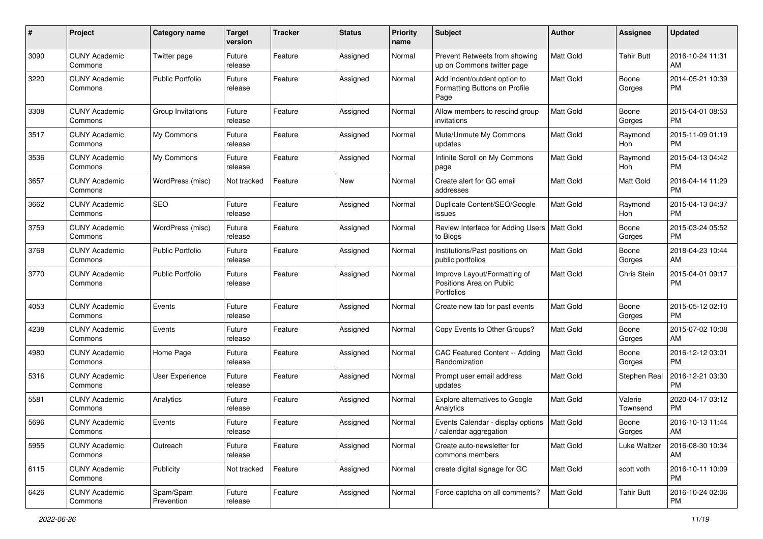| #    | Project                         | <b>Category name</b>    | <b>Target</b><br>version | <b>Tracker</b> | <b>Status</b> | <b>Priority</b><br>name | <b>Subject</b>                                                         | Author           | <b>Assignee</b>     | <b>Updated</b>                |
|------|---------------------------------|-------------------------|--------------------------|----------------|---------------|-------------------------|------------------------------------------------------------------------|------------------|---------------------|-------------------------------|
| 3090 | <b>CUNY Academic</b><br>Commons | Twitter page            | Future<br>release        | Feature        | Assigned      | Normal                  | Prevent Retweets from showing<br>up on Commons twitter page            | Matt Gold        | <b>Tahir Butt</b>   | 2016-10-24 11:31<br>AM        |
| 3220 | <b>CUNY Academic</b><br>Commons | <b>Public Portfolio</b> | Future<br>release        | Feature        | Assigned      | Normal                  | Add indent/outdent option to<br>Formatting Buttons on Profile<br>Page  | Matt Gold        | Boone<br>Gorges     | 2014-05-21 10:39<br>РM        |
| 3308 | <b>CUNY Academic</b><br>Commons | Group Invitations       | Future<br>release        | Feature        | Assigned      | Normal                  | Allow members to rescind group<br>invitations                          | Matt Gold        | Boone<br>Gorges     | 2015-04-01 08:53<br><b>PM</b> |
| 3517 | <b>CUNY Academic</b><br>Commons | My Commons              | Future<br>release        | Feature        | Assigned      | Normal                  | Mute/Unmute My Commons<br>updates                                      | Matt Gold        | Raymond<br>Hoh      | 2015-11-09 01:19<br><b>PM</b> |
| 3536 | <b>CUNY Academic</b><br>Commons | My Commons              | Future<br>release        | Feature        | Assigned      | Normal                  | Infinite Scroll on My Commons<br>page                                  | Matt Gold        | Raymond<br>Hoh      | 2015-04-13 04:42<br><b>PM</b> |
| 3657 | <b>CUNY Academic</b><br>Commons | WordPress (misc)        | Not tracked              | Feature        | New           | Normal                  | Create alert for GC email<br>addresses                                 | Matt Gold        | <b>Matt Gold</b>    | 2016-04-14 11:29<br><b>PM</b> |
| 3662 | <b>CUNY Academic</b><br>Commons | SEO                     | Future<br>release        | Feature        | Assigned      | Normal                  | Duplicate Content/SEO/Google<br>issues                                 | Matt Gold        | Raymond<br>Hoh      | 2015-04-13 04:37<br>РM        |
| 3759 | <b>CUNY Academic</b><br>Commons | WordPress (misc)        | Future<br>release        | Feature        | Assigned      | Normal                  | Review Interface for Adding Users<br>to Blogs                          | Matt Gold        | Boone<br>Gorges     | 2015-03-24 05:52<br>РM        |
| 3768 | <b>CUNY Academic</b><br>Commons | <b>Public Portfolio</b> | Future<br>release        | Feature        | Assigned      | Normal                  | Institutions/Past positions on<br>public portfolios                    | Matt Gold        | Boone<br>Gorges     | 2018-04-23 10:44<br>AM        |
| 3770 | <b>CUNY Academic</b><br>Commons | <b>Public Portfolio</b> | Future<br>release        | Feature        | Assigned      | Normal                  | Improve Layout/Formatting of<br>Positions Area on Public<br>Portfolios | Matt Gold        | Chris Stein         | 2015-04-01 09:17<br>РM        |
| 4053 | <b>CUNY Academic</b><br>Commons | Events                  | Future<br>release        | Feature        | Assigned      | Normal                  | Create new tab for past events                                         | Matt Gold        | Boone<br>Gorges     | 2015-05-12 02:10<br>PM        |
| 4238 | <b>CUNY Academic</b><br>Commons | Events                  | Future<br>release        | Feature        | Assigned      | Normal                  | Copy Events to Other Groups?                                           | Matt Gold        | Boone<br>Gorges     | 2015-07-02 10:08<br>AM        |
| 4980 | <b>CUNY Academic</b><br>Commons | Home Page               | Future<br>release        | Feature        | Assigned      | Normal                  | CAC Featured Content -- Adding<br>Randomization                        | Matt Gold        | Boone<br>Gorges     | 2016-12-12 03:01<br>PM        |
| 5316 | <b>CUNY Academic</b><br>Commons | User Experience         | Future<br>release        | Feature        | Assigned      | Normal                  | Prompt user email address<br>updates                                   | Matt Gold        | Stephen Real        | 2016-12-21 03:30<br>РM        |
| 5581 | <b>CUNY Academic</b><br>Commons | Analytics               | Future<br>release        | Feature        | Assigned      | Normal                  | Explore alternatives to Google<br>Analytics                            | Matt Gold        | Valerie<br>Townsend | 2020-04-17 03:12<br>РM        |
| 5696 | <b>CUNY Academic</b><br>Commons | Events                  | Future<br>release        | Feature        | Assigned      | Normal                  | Events Calendar - display options<br>/ calendar aggregation            | <b>Matt Gold</b> | Boone<br>Gorges     | 2016-10-13 11:44<br>AM        |
| 5955 | <b>CUNY Academic</b><br>Commons | Outreach                | Future<br>release        | Feature        | Assigned      | Normal                  | Create auto-newsletter for<br>commons members                          | <b>Matt Gold</b> | Luke Waltzer        | 2016-08-30 10:34<br>AM        |
| 6115 | <b>CUNY Academic</b><br>Commons | Publicity               | Not tracked              | Feature        | Assigned      | Normal                  | create digital signage for GC                                          | Matt Gold        | scott voth          | 2016-10-11 10:09<br><b>PM</b> |
| 6426 | <b>CUNY Academic</b><br>Commons | Spam/Spam<br>Prevention | Future<br>release        | Feature        | Assigned      | Normal                  | Force captcha on all comments?                                         | Matt Gold        | <b>Tahir Butt</b>   | 2016-10-24 02:06<br><b>PM</b> |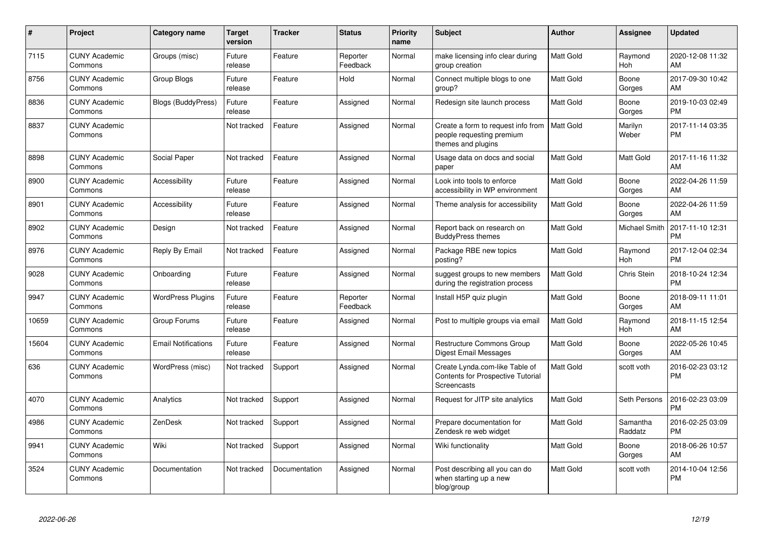| #     | <b>Project</b>                  | <b>Category name</b>       | <b>Target</b><br>version | <b>Tracker</b> | <b>Status</b>        | <b>Priority</b><br>name | <b>Subject</b>                                                                            | <b>Author</b>    | Assignee              | <b>Updated</b>                |
|-------|---------------------------------|----------------------------|--------------------------|----------------|----------------------|-------------------------|-------------------------------------------------------------------------------------------|------------------|-----------------------|-------------------------------|
| 7115  | <b>CUNY Academic</b><br>Commons | Groups (misc)              | Future<br>release        | Feature        | Reporter<br>Feedback | Normal                  | make licensing info clear during<br>group creation                                        | <b>Matt Gold</b> | Raymond<br>Hoh        | 2020-12-08 11:32<br>AM        |
| 8756  | <b>CUNY Academic</b><br>Commons | Group Blogs                | Future<br>release        | Feature        | Hold                 | Normal                  | Connect multiple blogs to one<br>group?                                                   | Matt Gold        | Boone<br>Gorges       | 2017-09-30 10:42<br>AM        |
| 8836  | <b>CUNY Academic</b><br>Commons | <b>Blogs (BuddyPress)</b>  | Future<br>release        | Feature        | Assigned             | Normal                  | Redesign site launch process                                                              | Matt Gold        | Boone<br>Gorges       | 2019-10-03 02:49<br><b>PM</b> |
| 8837  | <b>CUNY Academic</b><br>Commons |                            | Not tracked              | Feature        | Assigned             | Normal                  | Create a form to request info from<br>people requesting premium<br>themes and plugins     | <b>Matt Gold</b> | Marilyn<br>Weber      | 2017-11-14 03:35<br><b>PM</b> |
| 8898  | <b>CUNY Academic</b><br>Commons | Social Paper               | Not tracked              | Feature        | Assigned             | Normal                  | Usage data on docs and social<br>paper                                                    | Matt Gold        | Matt Gold             | 2017-11-16 11:32<br>AM        |
| 8900  | <b>CUNY Academic</b><br>Commons | Accessibility              | Future<br>release        | Feature        | Assigned             | Normal                  | Look into tools to enforce<br>accessibility in WP environment                             | Matt Gold        | Boone<br>Gorges       | 2022-04-26 11:59<br>AM        |
| 8901  | <b>CUNY Academic</b><br>Commons | Accessibility              | Future<br>release        | Feature        | Assigned             | Normal                  | Theme analysis for accessibility                                                          | Matt Gold        | Boone<br>Gorges       | 2022-04-26 11:59<br>AM        |
| 8902  | <b>CUNY Academic</b><br>Commons | Design                     | Not tracked              | Feature        | Assigned             | Normal                  | Report back on research on<br><b>BuddyPress themes</b>                                    | Matt Gold        | Michael Smith         | 2017-11-10 12:31<br><b>PM</b> |
| 8976  | <b>CUNY Academic</b><br>Commons | Reply By Email             | Not tracked              | Feature        | Assigned             | Normal                  | Package RBE new topics<br>posting?                                                        | Matt Gold        | Raymond<br>Hoh        | 2017-12-04 02:34<br><b>PM</b> |
| 9028  | <b>CUNY Academic</b><br>Commons | Onboarding                 | Future<br>release        | Feature        | Assigned             | Normal                  | suggest groups to new members<br>during the registration process                          | <b>Matt Gold</b> | Chris Stein           | 2018-10-24 12:34<br><b>PM</b> |
| 9947  | <b>CUNY Academic</b><br>Commons | <b>WordPress Plugins</b>   | Future<br>release        | Feature        | Reporter<br>Feedback | Normal                  | Install H5P quiz plugin                                                                   | <b>Matt Gold</b> | Boone<br>Gorges       | 2018-09-11 11:01<br>AM        |
| 10659 | <b>CUNY Academic</b><br>Commons | Group Forums               | Future<br>release        | Feature        | Assigned             | Normal                  | Post to multiple groups via email                                                         | <b>Matt Gold</b> | Raymond<br><b>Hoh</b> | 2018-11-15 12:54<br>AM        |
| 15604 | <b>CUNY Academic</b><br>Commons | <b>Email Notifications</b> | Future<br>release        | Feature        | Assigned             | Normal                  | Restructure Commons Group<br>Digest Email Messages                                        | Matt Gold        | Boone<br>Gorges       | 2022-05-26 10:45<br>AM        |
| 636   | <b>CUNY Academic</b><br>Commons | WordPress (misc)           | Not tracked              | Support        | Assigned             | Normal                  | Create Lynda.com-like Table of<br><b>Contents for Prospective Tutorial</b><br>Screencasts | <b>Matt Gold</b> | scott voth            | 2016-02-23 03:12<br><b>PM</b> |
| 4070  | <b>CUNY Academic</b><br>Commons | Analytics                  | Not tracked              | Support        | Assigned             | Normal                  | Request for JITP site analytics                                                           | <b>Matt Gold</b> | Seth Persons          | 2016-02-23 03:09<br><b>PM</b> |
| 4986  | <b>CUNY Academic</b><br>Commons | ZenDesk                    | Not tracked              | Support        | Assigned             | Normal                  | Prepare documentation for<br>Zendesk re web widget                                        | <b>Matt Gold</b> | Samantha<br>Raddatz   | 2016-02-25 03:09<br><b>PM</b> |
| 9941  | <b>CUNY Academic</b><br>Commons | Wiki                       | Not tracked              | Support        | Assigned             | Normal                  | Wiki functionality                                                                        | Matt Gold        | Boone<br>Gorges       | 2018-06-26 10:57<br>AM        |
| 3524  | <b>CUNY Academic</b><br>Commons | Documentation              | Not tracked              | Documentation  | Assigned             | Normal                  | Post describing all you can do<br>when starting up a new<br>blog/group                    | Matt Gold        | scott voth            | 2014-10-04 12:56<br><b>PM</b> |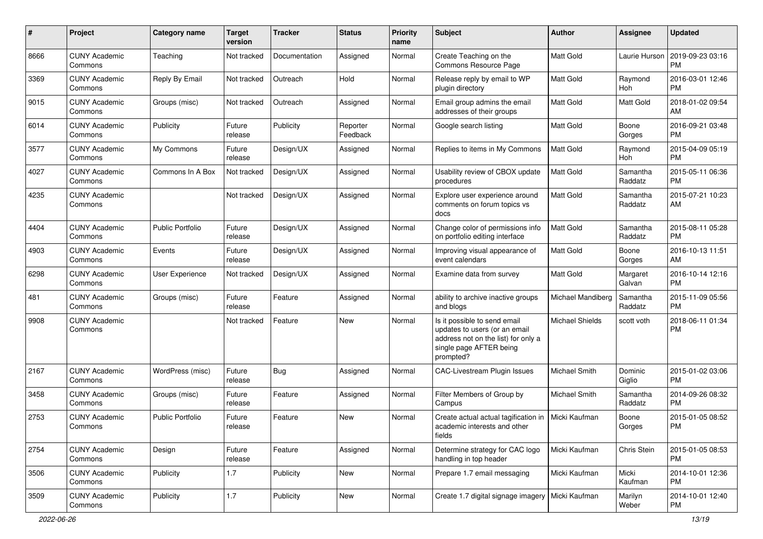| #    | Project                         | <b>Category name</b>    | <b>Target</b><br>version | <b>Tracker</b> | <b>Status</b>        | <b>Priority</b><br>name | Subject                                                                                                                                      | Author                 | <b>Assignee</b>       | <b>Updated</b>                |
|------|---------------------------------|-------------------------|--------------------------|----------------|----------------------|-------------------------|----------------------------------------------------------------------------------------------------------------------------------------------|------------------------|-----------------------|-------------------------------|
| 8666 | <b>CUNY Academic</b><br>Commons | Teaching                | Not tracked              | Documentation  | Assigned             | Normal                  | Create Teaching on the<br>Commons Resource Page                                                                                              | Matt Gold              | Laurie Hurson         | 2019-09-23 03:16<br>PM        |
| 3369 | <b>CUNY Academic</b><br>Commons | Reply By Email          | Not tracked              | Outreach       | Hold                 | Normal                  | Release reply by email to WP<br>plugin directory                                                                                             | Matt Gold              | Raymond<br><b>Hoh</b> | 2016-03-01 12:46<br><b>PM</b> |
| 9015 | <b>CUNY Academic</b><br>Commons | Groups (misc)           | Not tracked              | Outreach       | Assigned             | Normal                  | Email group admins the email<br>addresses of their groups                                                                                    | Matt Gold              | Matt Gold             | 2018-01-02 09:54<br>AM        |
| 6014 | <b>CUNY Academic</b><br>Commons | Publicity               | Future<br>release        | Publicity      | Reporter<br>Feedback | Normal                  | Google search listing                                                                                                                        | Matt Gold              | Boone<br>Gorges       | 2016-09-21 03:48<br><b>PM</b> |
| 3577 | <b>CUNY Academic</b><br>Commons | My Commons              | Future<br>release        | Design/UX      | Assigned             | Normal                  | Replies to items in My Commons                                                                                                               | Matt Gold              | Raymond<br>Hoh        | 2015-04-09 05:19<br><b>PM</b> |
| 4027 | <b>CUNY Academic</b><br>Commons | Commons In A Box        | Not tracked              | Design/UX      | Assigned             | Normal                  | Usability review of CBOX update<br>procedures                                                                                                | Matt Gold              | Samantha<br>Raddatz   | 2015-05-11 06:36<br><b>PM</b> |
| 4235 | <b>CUNY Academic</b><br>Commons |                         | Not tracked              | Design/UX      | Assigned             | Normal                  | Explore user experience around<br>comments on forum topics vs<br>docs                                                                        | Matt Gold              | Samantha<br>Raddatz   | 2015-07-21 10:23<br>AM        |
| 4404 | <b>CUNY Academic</b><br>Commons | <b>Public Portfolio</b> | Future<br>release        | Design/UX      | Assigned             | Normal                  | Change color of permissions info<br>on portfolio editing interface                                                                           | Matt Gold              | Samantha<br>Raddatz   | 2015-08-11 05:28<br><b>PM</b> |
| 4903 | <b>CUNY Academic</b><br>Commons | Events                  | Future<br>release        | Design/UX      | Assigned             | Normal                  | Improving visual appearance of<br>event calendars                                                                                            | Matt Gold              | Boone<br>Gorges       | 2016-10-13 11:51<br>AM        |
| 6298 | <b>CUNY Academic</b><br>Commons | User Experience         | Not tracked              | Design/UX      | Assigned             | Normal                  | Examine data from survey                                                                                                                     | Matt Gold              | Margaret<br>Galvan    | 2016-10-14 12:16<br><b>PM</b> |
| 481  | <b>CUNY Academic</b><br>Commons | Groups (misc)           | Future<br>release        | Feature        | Assigned             | Normal                  | ability to archive inactive groups<br>and blogs                                                                                              | Michael Mandiberg      | Samantha<br>Raddatz   | 2015-11-09 05:56<br>PM        |
| 9908 | <b>CUNY Academic</b><br>Commons |                         | Not tracked              | Feature        | <b>New</b>           | Normal                  | Is it possible to send email<br>updates to users (or an email<br>address not on the list) for only a<br>single page AFTER being<br>prompted? | <b>Michael Shields</b> | scott voth            | 2018-06-11 01:34<br><b>PM</b> |
| 2167 | <b>CUNY Academic</b><br>Commons | WordPress (misc)        | Future<br>release        | <b>Bug</b>     | Assigned             | Normal                  | CAC-Livestream Plugin Issues                                                                                                                 | Michael Smith          | Dominic<br>Giglio     | 2015-01-02 03:06<br><b>PM</b> |
| 3458 | <b>CUNY Academic</b><br>Commons | Groups (misc)           | Future<br>release        | Feature        | Assigned             | Normal                  | Filter Members of Group by<br>Campus                                                                                                         | Michael Smith          | Samantha<br>Raddatz   | 2014-09-26 08:32<br><b>PM</b> |
| 2753 | <b>CUNY Academic</b><br>Commons | <b>Public Portfolio</b> | Future<br>release        | Feature        | <b>New</b>           | Normal                  | Create actual actual tagification in<br>academic interests and other<br>fields                                                               | Micki Kaufman          | Boone<br>Gorges       | 2015-01-05 08:52<br><b>PM</b> |
| 2754 | <b>CUNY Academic</b><br>Commons | Design                  | Future<br>release        | Feature        | Assigned             | Normal                  | Determine strategy for CAC logo<br>handling in top header                                                                                    | Micki Kaufman          | Chris Stein           | 2015-01-05 08:53<br>PM        |
| 3506 | <b>CUNY Academic</b><br>Commons | Publicity               | 1.7                      | Publicity      | New                  | Normal                  | Prepare 1.7 email messaging                                                                                                                  | Micki Kaufman          | Micki<br>Kaufman      | 2014-10-01 12:36<br>PM        |
| 3509 | <b>CUNY Academic</b><br>Commons | Publicity               | 1.7                      | Publicity      | New                  | Normal                  | Create 1.7 digital signage imagery   Micki Kaufman                                                                                           |                        | Marilyn<br>Weber      | 2014-10-01 12:40<br>PM        |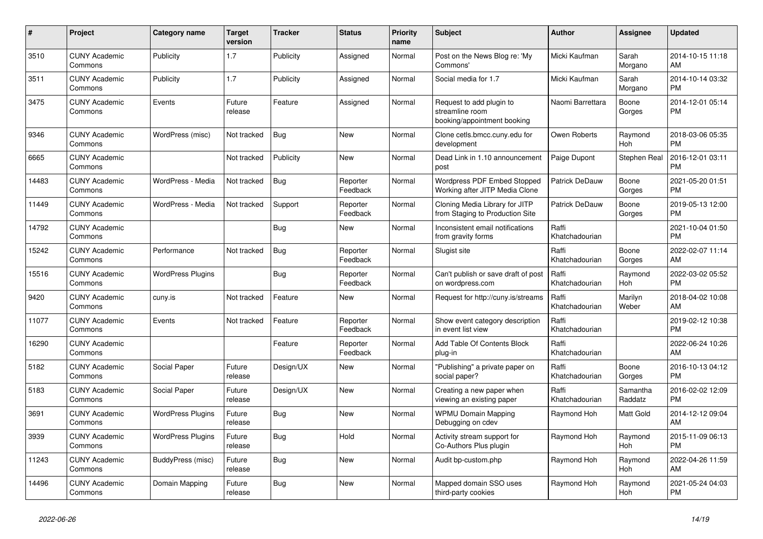| #     | Project                         | <b>Category name</b>     | <b>Target</b><br>version | <b>Tracker</b> | <b>Status</b>        | <b>Priority</b><br>name | <b>Subject</b>                                                             | <b>Author</b>           | Assignee              | <b>Updated</b>                |
|-------|---------------------------------|--------------------------|--------------------------|----------------|----------------------|-------------------------|----------------------------------------------------------------------------|-------------------------|-----------------------|-------------------------------|
| 3510  | <b>CUNY Academic</b><br>Commons | Publicity                | 1.7                      | Publicity      | Assigned             | Normal                  | Post on the News Blog re: 'My<br>Commons'                                  | Micki Kaufman           | Sarah<br>Morgano      | 2014-10-15 11:18<br>AM        |
| 3511  | <b>CUNY Academic</b><br>Commons | Publicity                | 1.7                      | Publicity      | Assigned             | Normal                  | Social media for 1.7                                                       | Micki Kaufman           | Sarah<br>Morgano      | 2014-10-14 03:32<br><b>PM</b> |
| 3475  | <b>CUNY Academic</b><br>Commons | Events                   | Future<br>release        | Feature        | Assigned             | Normal                  | Request to add plugin to<br>streamline room<br>booking/appointment booking | Naomi Barrettara        | Boone<br>Gorges       | 2014-12-01 05:14<br><b>PM</b> |
| 9346  | <b>CUNY Academic</b><br>Commons | WordPress (misc)         | Not tracked              | Bug            | <b>New</b>           | Normal                  | Clone cetls.bmcc.cuny.edu for<br>development                               | Owen Roberts            | Raymond<br><b>Hoh</b> | 2018-03-06 05:35<br><b>PM</b> |
| 6665  | <b>CUNY Academic</b><br>Commons |                          | Not tracked              | Publicity      | <b>New</b>           | Normal                  | Dead Link in 1.10 announcement<br>post                                     | Paige Dupont            | Stephen Real          | 2016-12-01 03:11<br><b>PM</b> |
| 14483 | <b>CUNY Academic</b><br>Commons | WordPress - Media        | Not tracked              | Bug            | Reporter<br>Feedback | Normal                  | Wordpress PDF Embed Stopped<br>Working after JITP Media Clone              | Patrick DeDauw          | Boone<br>Gorges       | 2021-05-20 01:51<br><b>PM</b> |
| 11449 | <b>CUNY Academic</b><br>Commons | WordPress - Media        | Not tracked              | Support        | Reporter<br>Feedback | Normal                  | Cloning Media Library for JITP<br>from Staging to Production Site          | Patrick DeDauw          | Boone<br>Gorges       | 2019-05-13 12:00<br><b>PM</b> |
| 14792 | <b>CUNY Academic</b><br>Commons |                          |                          | <b>Bug</b>     | <b>New</b>           | Normal                  | Inconsistent email notifications<br>from gravity forms                     | Raffi<br>Khatchadourian |                       | 2021-10-04 01:50<br><b>PM</b> |
| 15242 | <b>CUNY Academic</b><br>Commons | Performance              | Not tracked              | <b>Bug</b>     | Reporter<br>Feedback | Normal                  | Slugist site                                                               | Raffi<br>Khatchadourian | Boone<br>Gorges       | 2022-02-07 11:14<br>AM        |
| 15516 | <b>CUNY Academic</b><br>Commons | <b>WordPress Plugins</b> |                          | <b>Bug</b>     | Reporter<br>Feedback | Normal                  | Can't publish or save draft of post<br>on wordpress.com                    | Raffi<br>Khatchadourian | Raymond<br>Hoh        | 2022-03-02 05:52<br><b>PM</b> |
| 9420  | <b>CUNY Academic</b><br>Commons | cuny.is                  | Not tracked              | Feature        | <b>New</b>           | Normal                  | Request for http://cuny.is/streams                                         | Raffi<br>Khatchadourian | Marilyn<br>Weber      | 2018-04-02 10:08<br>AM        |
| 11077 | <b>CUNY Academic</b><br>Commons | Events                   | Not tracked              | Feature        | Reporter<br>Feedback | Normal                  | Show event category description<br>in event list view                      | Raffi<br>Khatchadourian |                       | 2019-02-12 10:38<br><b>PM</b> |
| 16290 | <b>CUNY Academic</b><br>Commons |                          |                          | Feature        | Reporter<br>Feedback | Normal                  | Add Table Of Contents Block<br>plug-in                                     | Raffi<br>Khatchadourian |                       | 2022-06-24 10:26<br>AM        |
| 5182  | <b>CUNY Academic</b><br>Commons | Social Paper             | Future<br>release        | Design/UX      | <b>New</b>           | Normal                  | "Publishing" a private paper on<br>social paper?                           | Raffi<br>Khatchadourian | Boone<br>Gorges       | 2016-10-13 04:12<br><b>PM</b> |
| 5183  | <b>CUNY Academic</b><br>Commons | Social Paper             | Future<br>release        | Design/UX      | <b>New</b>           | Normal                  | Creating a new paper when<br>viewing an existing paper                     | Raffi<br>Khatchadourian | Samantha<br>Raddatz   | 2016-02-02 12:09<br><b>PM</b> |
| 3691  | <b>CUNY Academic</b><br>Commons | <b>WordPress Plugins</b> | Future<br>release        | Bug            | <b>New</b>           | Normal                  | <b>WPMU Domain Mapping</b><br>Debugging on cdev                            | Raymond Hoh             | Matt Gold             | 2014-12-12 09:04<br>AM        |
| 3939  | <b>CUNY Academic</b><br>Commons | <b>WordPress Plugins</b> | Future<br>release        | <b>Bug</b>     | Hold                 | Normal                  | Activity stream support for<br>Co-Authors Plus plugin                      | Raymond Hoh             | Raymond<br>Hoh        | 2015-11-09 06:13<br><b>PM</b> |
| 11243 | <b>CUNY Academic</b><br>Commons | BuddyPress (misc)        | Future<br>release        | <b>Bug</b>     | <b>New</b>           | Normal                  | Audit bp-custom.php                                                        | Raymond Hoh             | Raymond<br>Hoh        | 2022-04-26 11:59<br>AM        |
| 14496 | <b>CUNY Academic</b><br>Commons | Domain Mapping           | Future<br>release        | <b>Bug</b>     | <b>New</b>           | Normal                  | Mapped domain SSO uses<br>third-party cookies                              | Raymond Hoh             | Raymond<br>Hoh        | 2021-05-24 04:03<br><b>PM</b> |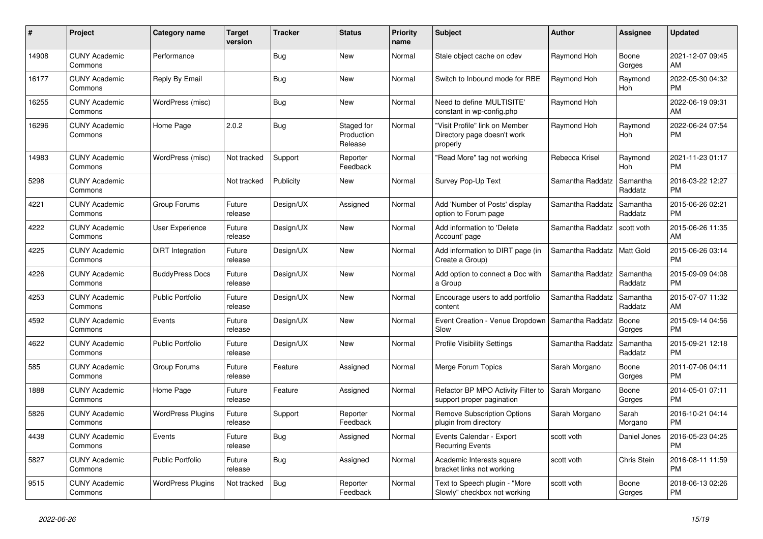| $\#$  | Project                         | <b>Category name</b>     | <b>Target</b><br>version | <b>Tracker</b> | <b>Status</b>                       | <b>Priority</b><br>name | <b>Subject</b>                                                            | <b>Author</b>    | <b>Assignee</b>       | <b>Updated</b>                |
|-------|---------------------------------|--------------------------|--------------------------|----------------|-------------------------------------|-------------------------|---------------------------------------------------------------------------|------------------|-----------------------|-------------------------------|
| 14908 | <b>CUNY Academic</b><br>Commons | Performance              |                          | <b>Bug</b>     | New                                 | Normal                  | Stale object cache on cdev                                                | Raymond Hoh      | Boone<br>Gorges       | 2021-12-07 09:45<br>AM        |
| 16177 | <b>CUNY Academic</b><br>Commons | Reply By Email           |                          | Bug            | <b>New</b>                          | Normal                  | Switch to Inbound mode for RBE                                            | Raymond Hoh      | Raymond<br>Hoh        | 2022-05-30 04:32<br><b>PM</b> |
| 16255 | <b>CUNY Academic</b><br>Commons | WordPress (misc)         |                          | <b>Bug</b>     | <b>New</b>                          | Normal                  | Need to define 'MULTISITE'<br>constant in wp-config.php                   | Raymond Hoh      |                       | 2022-06-19 09:31<br>AM        |
| 16296 | <b>CUNY Academic</b><br>Commons | Home Page                | 2.0.2                    | <b>Bug</b>     | Staged for<br>Production<br>Release | Normal                  | 'Visit Profile" link on Member<br>Directory page doesn't work<br>properly | Raymond Hoh      | Raymond<br><b>Hoh</b> | 2022-06-24 07:54<br><b>PM</b> |
| 14983 | <b>CUNY Academic</b><br>Commons | WordPress (misc)         | Not tracked              | Support        | Reporter<br>Feedback                | Normal                  | 'Read More" tag not working                                               | Rebecca Krisel   | Raymond<br><b>Hoh</b> | 2021-11-23 01:17<br><b>PM</b> |
| 5298  | <b>CUNY Academic</b><br>Commons |                          | Not tracked              | Publicity      | <b>New</b>                          | Normal                  | Survey Pop-Up Text                                                        | Samantha Raddatz | Samantha<br>Raddatz   | 2016-03-22 12:27<br><b>PM</b> |
| 4221  | <b>CUNY Academic</b><br>Commons | Group Forums             | Future<br>release        | Design/UX      | Assigned                            | Normal                  | Add 'Number of Posts' display<br>option to Forum page                     | Samantha Raddatz | Samantha<br>Raddatz   | 2015-06-26 02:21<br><b>PM</b> |
| 4222  | <b>CUNY Academic</b><br>Commons | User Experience          | Future<br>release        | Design/UX      | <b>New</b>                          | Normal                  | Add information to 'Delete<br>Account' page                               | Samantha Raddatz | scott voth            | 2015-06-26 11:35<br>AM        |
| 4225  | <b>CUNY Academic</b><br>Commons | <b>DiRT</b> Integration  | Future<br>release        | Design/UX      | <b>New</b>                          | Normal                  | Add information to DIRT page (in<br>Create a Group)                       | Samantha Raddatz | Matt Gold             | 2015-06-26 03:14<br><b>PM</b> |
| 4226  | <b>CUNY Academic</b><br>Commons | <b>BuddyPress Docs</b>   | Future<br>release        | Design/UX      | <b>New</b>                          | Normal                  | Add option to connect a Doc with<br>a Group                               | Samantha Raddatz | Samantha<br>Raddatz   | 2015-09-09 04:08<br><b>PM</b> |
| 4253  | <b>CUNY Academic</b><br>Commons | <b>Public Portfolio</b>  | Future<br>release        | Design/UX      | New                                 | Normal                  | Encourage users to add portfolio<br>content                               | Samantha Raddatz | Samantha<br>Raddatz   | 2015-07-07 11:32<br>AM        |
| 4592  | <b>CUNY Academic</b><br>Commons | Events                   | Future<br>release        | Design/UX      | <b>New</b>                          | Normal                  | Event Creation - Venue Dropdown<br>Slow                                   | Samantha Raddatz | Boone<br>Gorges       | 2015-09-14 04:56<br><b>PM</b> |
| 4622  | <b>CUNY Academic</b><br>Commons | <b>Public Portfolio</b>  | Future<br>release        | Design/UX      | <b>New</b>                          | Normal                  | <b>Profile Visibility Settings</b>                                        | Samantha Raddatz | Samantha<br>Raddatz   | 2015-09-21 12:18<br><b>PM</b> |
| 585   | <b>CUNY Academic</b><br>Commons | Group Forums             | Future<br>release        | Feature        | Assigned                            | Normal                  | Merge Forum Topics                                                        | Sarah Morgano    | Boone<br>Gorges       | 2011-07-06 04:11<br><b>PM</b> |
| 1888  | <b>CUNY Academic</b><br>Commons | Home Page                | Future<br>release        | Feature        | Assigned                            | Normal                  | Refactor BP MPO Activity Filter to<br>support proper pagination           | Sarah Morgano    | Boone<br>Gorges       | 2014-05-01 07:11<br><b>PM</b> |
| 5826  | <b>CUNY Academic</b><br>Commons | <b>WordPress Plugins</b> | Future<br>release        | Support        | Reporter<br>Feedback                | Normal                  | <b>Remove Subscription Options</b><br>plugin from directory               | Sarah Morgano    | Sarah<br>Morgano      | 2016-10-21 04:14<br><b>PM</b> |
| 4438  | <b>CUNY Academic</b><br>Commons | Events                   | Future<br>release        | <b>Bug</b>     | Assigned                            | Normal                  | Events Calendar - Export<br><b>Recurring Events</b>                       | scott voth       | Daniel Jones          | 2016-05-23 04:25<br><b>PM</b> |
| 5827  | <b>CUNY Academic</b><br>Commons | <b>Public Portfolio</b>  | Future<br>release        | Bug            | Assigned                            | Normal                  | Academic Interests square<br>bracket links not working                    | scott voth       | Chris Stein           | 2016-08-11 11:59<br><b>PM</b> |
| 9515  | <b>CUNY Academic</b><br>Commons | <b>WordPress Plugins</b> | Not tracked              | <b>Bug</b>     | Reporter<br>Feedback                | Normal                  | Text to Speech plugin - "More<br>Slowly" checkbox not working             | scott voth       | Boone<br>Gorges       | 2018-06-13 02:26<br><b>PM</b> |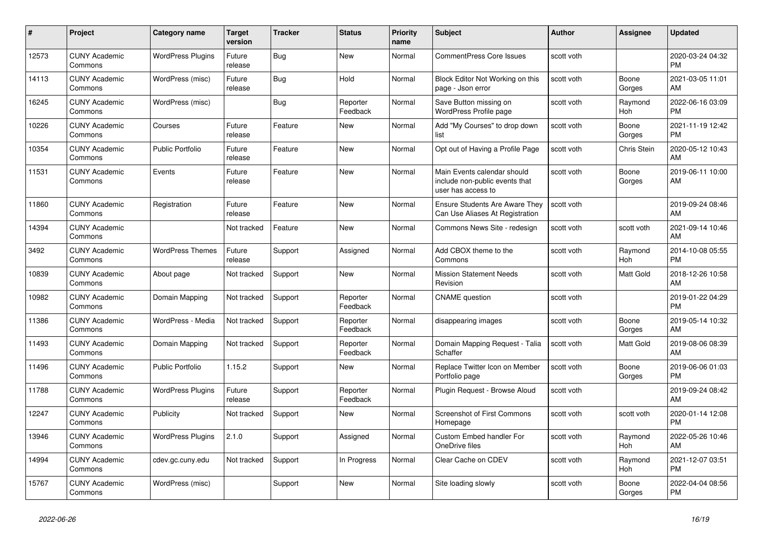| $\pmb{\sharp}$ | <b>Project</b>                  | <b>Category name</b>     | <b>Target</b><br>version | Tracker    | <b>Status</b>        | <b>Priority</b><br>name | <b>Subject</b>                                                                      | <b>Author</b> | <b>Assignee</b>       | <b>Updated</b>                |
|----------------|---------------------------------|--------------------------|--------------------------|------------|----------------------|-------------------------|-------------------------------------------------------------------------------------|---------------|-----------------------|-------------------------------|
| 12573          | <b>CUNY Academic</b><br>Commons | <b>WordPress Plugins</b> | Future<br>release        | <b>Bug</b> | <b>New</b>           | Normal                  | <b>CommentPress Core Issues</b>                                                     | scott voth    |                       | 2020-03-24 04:32<br><b>PM</b> |
| 14113          | <b>CUNY Academic</b><br>Commons | WordPress (misc)         | Future<br>release        | <b>Bug</b> | Hold                 | Normal                  | Block Editor Not Working on this<br>page - Json error                               | scott voth    | Boone<br>Gorges       | 2021-03-05 11:01<br>AM        |
| 16245          | <b>CUNY Academic</b><br>Commons | WordPress (misc)         |                          | <b>Bug</b> | Reporter<br>Feedback | Normal                  | Save Button missing on<br>WordPress Profile page                                    | scott voth    | Raymond<br>Hoh        | 2022-06-16 03:09<br><b>PM</b> |
| 10226          | <b>CUNY Academic</b><br>Commons | Courses                  | Future<br>release        | Feature    | <b>New</b>           | Normal                  | Add "My Courses" to drop down<br>list                                               | scott voth    | Boone<br>Gorges       | 2021-11-19 12:42<br><b>PM</b> |
| 10354          | <b>CUNY Academic</b><br>Commons | <b>Public Portfolio</b>  | Future<br>release        | Feature    | <b>New</b>           | Normal                  | Opt out of Having a Profile Page                                                    | scott voth    | Chris Stein           | 2020-05-12 10:43<br>AM        |
| 11531          | <b>CUNY Academic</b><br>Commons | Events                   | Future<br>release        | Feature    | <b>New</b>           | Normal                  | Main Events calendar should<br>include non-public events that<br>user has access to | scott voth    | Boone<br>Gorges       | 2019-06-11 10:00<br>AM        |
| 11860          | <b>CUNY Academic</b><br>Commons | Registration             | Future<br>release        | Feature    | <b>New</b>           | Normal                  | <b>Ensure Students Are Aware They</b><br>Can Use Aliases At Registration            | scott voth    |                       | 2019-09-24 08:46<br>AM        |
| 14394          | <b>CUNY Academic</b><br>Commons |                          | Not tracked              | Feature    | <b>New</b>           | Normal                  | Commons News Site - redesign                                                        | scott voth    | scott voth            | 2021-09-14 10:46<br>AM        |
| 3492           | <b>CUNY Academic</b><br>Commons | <b>WordPress Themes</b>  | Future<br>release        | Support    | Assigned             | Normal                  | Add CBOX theme to the<br>Commons                                                    | scott voth    | Raymond<br>Hoh        | 2014-10-08 05:55<br><b>PM</b> |
| 10839          | <b>CUNY Academic</b><br>Commons | About page               | Not tracked              | Support    | New                  | Normal                  | <b>Mission Statement Needs</b><br>Revision                                          | scott voth    | Matt Gold             | 2018-12-26 10:58<br>AM        |
| 10982          | <b>CUNY Academic</b><br>Commons | Domain Mapping           | Not tracked              | Support    | Reporter<br>Feedback | Normal                  | <b>CNAME</b> question                                                               | scott voth    |                       | 2019-01-22 04:29<br><b>PM</b> |
| 11386          | <b>CUNY Academic</b><br>Commons | WordPress - Media        | Not tracked              | Support    | Reporter<br>Feedback | Normal                  | disappearing images                                                                 | scott voth    | Boone<br>Gorges       | 2019-05-14 10:32<br>AM        |
| 11493          | <b>CUNY Academic</b><br>Commons | Domain Mapping           | Not tracked              | Support    | Reporter<br>Feedback | Normal                  | Domain Mapping Request - Talia<br>Schaffer                                          | scott voth    | Matt Gold             | 2019-08-06 08:39<br>AM        |
| 11496          | <b>CUNY Academic</b><br>Commons | <b>Public Portfolio</b>  | 1.15.2                   | Support    | <b>New</b>           | Normal                  | Replace Twitter Icon on Member<br>Portfolio page                                    | scott voth    | Boone<br>Gorges       | 2019-06-06 01:03<br><b>PM</b> |
| 11788          | <b>CUNY Academic</b><br>Commons | <b>WordPress Plugins</b> | Future<br>release        | Support    | Reporter<br>Feedback | Normal                  | Plugin Request - Browse Aloud                                                       | scott voth    |                       | 2019-09-24 08:42<br>AM        |
| 12247          | <b>CUNY Academic</b><br>Commons | Publicity                | Not tracked              | Support    | <b>New</b>           | Normal                  | <b>Screenshot of First Commons</b><br>Homepage                                      | scott voth    | scott voth            | 2020-01-14 12:08<br><b>PM</b> |
| 13946          | <b>CUNY Academic</b><br>Commons | <b>WordPress Plugins</b> | 2.1.0                    | Support    | Assigned             | Normal                  | <b>Custom Embed handler For</b><br>OneDrive files                                   | scott voth    | Raymond<br><b>Hoh</b> | 2022-05-26 10:46<br>AM        |
| 14994          | <b>CUNY Academic</b><br>Commons | cdev.gc.cuny.edu         | Not tracked              | Support    | In Progress          | Normal                  | Clear Cache on CDEV                                                                 | scott voth    | Raymond<br>Hoh        | 2021-12-07 03:51<br><b>PM</b> |
| 15767          | <b>CUNY Academic</b><br>Commons | WordPress (misc)         |                          | Support    | <b>New</b>           | Normal                  | Site loading slowly                                                                 | scott voth    | Boone<br>Gorges       | 2022-04-04 08:56<br><b>PM</b> |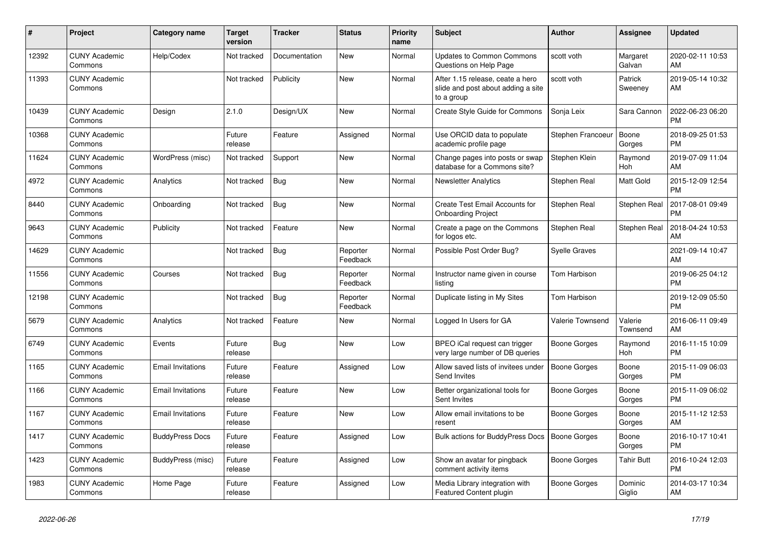| #     | <b>Project</b>                  | <b>Category name</b>     | <b>Target</b><br>version | Tracker       | <b>Status</b>        | <b>Priority</b><br>name | <b>Subject</b>                                                                       | <b>Author</b>           | <b>Assignee</b>     | <b>Updated</b>                |
|-------|---------------------------------|--------------------------|--------------------------|---------------|----------------------|-------------------------|--------------------------------------------------------------------------------------|-------------------------|---------------------|-------------------------------|
| 12392 | <b>CUNY Academic</b><br>Commons | Help/Codex               | Not tracked              | Documentation | <b>New</b>           | Normal                  | <b>Updates to Common Commons</b><br>Questions on Help Page                           | scott voth              | Margaret<br>Galvan  | 2020-02-11 10:53<br>AM        |
| 11393 | <b>CUNY Academic</b><br>Commons |                          | Not tracked              | Publicity     | <b>New</b>           | Normal                  | After 1.15 release, ceate a hero<br>slide and post about adding a site<br>to a group | scott voth              | Patrick<br>Sweeney  | 2019-05-14 10:32<br>AM        |
| 10439 | <b>CUNY Academic</b><br>Commons | Design                   | 2.1.0                    | Design/UX     | <b>New</b>           | Normal                  | <b>Create Style Guide for Commons</b>                                                | Sonja Leix              | Sara Cannon         | 2022-06-23 06:20<br><b>PM</b> |
| 10368 | <b>CUNY Academic</b><br>Commons |                          | Future<br>release        | Feature       | Assigned             | Normal                  | Use ORCID data to populate<br>academic profile page                                  | Stephen Francoeur       | Boone<br>Gorges     | 2018-09-25 01:53<br><b>PM</b> |
| 11624 | <b>CUNY Academic</b><br>Commons | WordPress (misc)         | Not tracked              | Support       | <b>New</b>           | Normal                  | Change pages into posts or swap<br>database for a Commons site?                      | Stephen Klein           | Raymond<br>Hoh      | 2019-07-09 11:04<br>AM        |
| 4972  | <b>CUNY Academic</b><br>Commons | Analytics                | Not tracked              | Bug           | <b>New</b>           | Normal                  | <b>Newsletter Analytics</b>                                                          | Stephen Real            | Matt Gold           | 2015-12-09 12:54<br><b>PM</b> |
| 8440  | <b>CUNY Academic</b><br>Commons | Onboarding               | Not tracked              | <b>Bug</b>    | <b>New</b>           | Normal                  | Create Test Email Accounts for<br><b>Onboarding Project</b>                          | Stephen Real            | <b>Stephen Real</b> | 2017-08-01 09:49<br><b>PM</b> |
| 9643  | <b>CUNY Academic</b><br>Commons | Publicity                | Not tracked              | Feature       | <b>New</b>           | Normal                  | Create a page on the Commons<br>for logos etc.                                       | Stephen Real            | Stephen Real        | 2018-04-24 10:53<br>AM        |
| 14629 | <b>CUNY Academic</b><br>Commons |                          | Not tracked              | <b>Bug</b>    | Reporter<br>Feedback | Normal                  | Possible Post Order Bug?                                                             | Syelle Graves           |                     | 2021-09-14 10:47<br>AM        |
| 11556 | <b>CUNY Academic</b><br>Commons | Courses                  | Not tracked              | <b>Bug</b>    | Reporter<br>Feedback | Normal                  | Instructor name given in course<br>listing                                           | Tom Harbison            |                     | 2019-06-25 04:12<br><b>PM</b> |
| 12198 | <b>CUNY Academic</b><br>Commons |                          | Not tracked              | <b>Bug</b>    | Reporter<br>Feedback | Normal                  | Duplicate listing in My Sites                                                        | Tom Harbison            |                     | 2019-12-09 05:50<br><b>PM</b> |
| 5679  | <b>CUNY Academic</b><br>Commons | Analytics                | Not tracked              | Feature       | <b>New</b>           | Normal                  | Logged In Users for GA                                                               | <b>Valerie Townsend</b> | Valerie<br>Townsend | 2016-06-11 09:49<br>AM        |
| 6749  | <b>CUNY Academic</b><br>Commons | Events                   | Future<br>release        | <b>Bug</b>    | <b>New</b>           | Low                     | BPEO iCal request can trigger<br>very large number of DB queries                     | Boone Gorges            | Raymond<br>Hoh      | 2016-11-15 10:09<br><b>PM</b> |
| 1165  | <b>CUNY Academic</b><br>Commons | <b>Email Invitations</b> | Future<br>release        | Feature       | Assigned             | Low                     | Allow saved lists of invitees under<br>Send Invites                                  | Boone Gorges            | Boone<br>Gorges     | 2015-11-09 06:03<br><b>PM</b> |
| 1166  | <b>CUNY Academic</b><br>Commons | <b>Email Invitations</b> | Future<br>release        | Feature       | New                  | Low                     | Better organizational tools for<br>Sent Invites                                      | Boone Gorges            | Boone<br>Gorges     | 2015-11-09 06:02<br><b>PM</b> |
| 1167  | <b>CUNY Academic</b><br>Commons | <b>Email Invitations</b> | Future<br>release        | Feature       | <b>New</b>           | Low                     | Allow email invitations to be<br>resent                                              | Boone Gorges            | Boone<br>Gorges     | 2015-11-12 12:53<br>AM        |
| 1417  | <b>CUNY Academic</b><br>Commons | <b>BuddyPress Docs</b>   | Future<br>release        | Feature       | Assigned             | Low                     | Bulk actions for BuddyPress Docs                                                     | <b>Boone Gorges</b>     | Boone<br>Gorges     | 2016-10-17 10:41<br><b>PM</b> |
| 1423  | <b>CUNY Academic</b><br>Commons | BuddyPress (misc)        | Future<br>release        | Feature       | Assigned             | Low                     | Show an avatar for pingback<br>comment activity items                                | <b>Boone Gorges</b>     | <b>Tahir Butt</b>   | 2016-10-24 12:03<br><b>PM</b> |
| 1983  | <b>CUNY Academic</b><br>Commons | Home Page                | Future<br>release        | Feature       | Assigned             | Low                     | Media Library integration with<br>Featured Content plugin                            | Boone Gorges            | Dominic<br>Giglio   | 2014-03-17 10:34<br>AM        |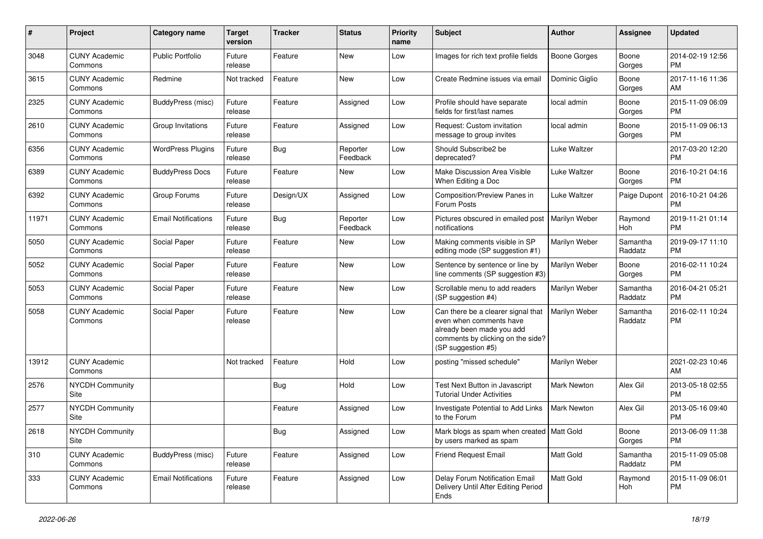| #             | Project                         | <b>Category name</b>       | <b>Target</b><br>version | <b>Tracker</b> | <b>Status</b>        | <b>Priority</b><br>name | <b>Subject</b>                                                                                                                                        | <b>Author</b>       | Assignee            | <b>Updated</b>                |
|---------------|---------------------------------|----------------------------|--------------------------|----------------|----------------------|-------------------------|-------------------------------------------------------------------------------------------------------------------------------------------------------|---------------------|---------------------|-------------------------------|
| 3048          | <b>CUNY Academic</b><br>Commons | <b>Public Portfolio</b>    | Future<br>release        | Feature        | New                  | Low                     | Images for rich text profile fields                                                                                                                   | <b>Boone Gorges</b> | Boone<br>Gorges     | 2014-02-19 12:56<br><b>PM</b> |
| 3615          | <b>CUNY Academic</b><br>Commons | Redmine                    | Not tracked              | Feature        | New                  | Low                     | Create Redmine issues via email                                                                                                                       | Dominic Giglio      | Boone<br>Gorges     | 2017-11-16 11:36<br>AM        |
| 2325          | <b>CUNY Academic</b><br>Commons | BuddyPress (misc)          | Future<br>release        | Feature        | Assigned             | Low                     | Profile should have separate<br>fields for first/last names                                                                                           | local admin         | Boone<br>Gorges     | 2015-11-09 06:09<br><b>PM</b> |
| 2610          | <b>CUNY Academic</b><br>Commons | Group Invitations          | Future<br>release        | Feature        | Assigned             | Low                     | Request: Custom invitation<br>message to group invites                                                                                                | local admin         | Boone<br>Gorges     | 2015-11-09 06:13<br><b>PM</b> |
| 6356          | <b>CUNY Academic</b><br>Commons | <b>WordPress Plugins</b>   | Future<br>release        | Bug            | Reporter<br>Feedback | Low                     | Should Subscribe2 be<br>deprecated?                                                                                                                   | Luke Waltzer        |                     | 2017-03-20 12:20<br><b>PM</b> |
| 6389          | <b>CUNY Academic</b><br>Commons | <b>BuddyPress Docs</b>     | Future<br>release        | Feature        | New                  | Low                     | Make Discussion Area Visible<br>When Editing a Doc                                                                                                    | Luke Waltzer        | Boone<br>Gorges     | 2016-10-21 04:16<br><b>PM</b> |
| 6392          | <b>CUNY Academic</b><br>Commons | Group Forums               | Future<br>release        | Design/UX      | Assigned             | Low                     | Composition/Preview Panes in<br>Forum Posts                                                                                                           | Luke Waltzer        | Paige Dupont        | 2016-10-21 04:26<br><b>PM</b> |
| 11971         | <b>CUNY Academic</b><br>Commons | <b>Email Notifications</b> | Future<br>release        | Bug            | Reporter<br>Feedback | Low                     | Pictures obscured in emailed post<br>notifications                                                                                                    | Marilyn Weber       | Raymond<br>Hoh      | 2019-11-21 01:14<br><b>PM</b> |
| 5050          | <b>CUNY Academic</b><br>Commons | Social Paper               | Future<br>release        | Feature        | New                  | Low                     | Making comments visible in SP<br>editing mode (SP suggestion #1)                                                                                      | Marilyn Weber       | Samantha<br>Raddatz | 2019-09-17 11:10<br><b>PM</b> |
| 5052          | <b>CUNY Academic</b><br>Commons | Social Paper               | Future<br>release        | Feature        | New                  | Low                     | Sentence by sentence or line by<br>line comments (SP suggestion #3)                                                                                   | Marilyn Weber       | Boone<br>Gorges     | 2016-02-11 10:24<br><b>PM</b> |
| 5053          | <b>CUNY Academic</b><br>Commons | Social Paper               | Future<br>release        | Feature        | New                  | Low                     | Scrollable menu to add readers<br>(SP suggestion #4)                                                                                                  | Marilyn Weber       | Samantha<br>Raddatz | 2016-04-21 05:21<br><b>PM</b> |
| 5058          | <b>CUNY Academic</b><br>Commons | Social Paper               | Future<br>release        | Feature        | New                  | Low                     | Can there be a clearer signal that<br>even when comments have<br>already been made you add<br>comments by clicking on the side?<br>(SP suggestion #5) | Marilyn Weber       | Samantha<br>Raddatz | 2016-02-11 10:24<br><b>PM</b> |
| 13912         | <b>CUNY Academic</b><br>Commons |                            | Not tracked              | Feature        | Hold                 | Low                     | posting "missed schedule"                                                                                                                             | Marilyn Weber       |                     | 2021-02-23 10:46<br>AM        |
| 2576          | <b>NYCDH Community</b><br>Site  |                            |                          | Bug            | Hold                 | Low                     | Test Next Button in Javascript<br><b>Tutorial Under Activities</b>                                                                                    | Mark Newton         | Alex Gil            | 2013-05-18 02:55<br><b>PM</b> |
| 2577          | <b>NYCDH Community</b><br>Site  |                            |                          | Feature        | Assigned             | Low                     | Investigate Potential to Add Links<br>to the Forum                                                                                                    | <b>Mark Newton</b>  | Alex Gil            | 2013-05-16 09:40<br><b>PM</b> |
| 2618          | NYCDH Community<br>Site         |                            |                          | <b>Bug</b>     | Assigned             | Low                     | Mark blogs as spam when created   Matt Gold<br>by users marked as spam                                                                                |                     | Boone<br>Gorges     | 2013-06-09 11:38<br><b>PM</b> |
| $ 310\rangle$ | <b>CUNY Academic</b><br>Commons | BuddyPress (misc)          | Future<br>release        | Feature        | Assigned             | Low                     | Friend Request Email                                                                                                                                  | Matt Gold           | Samantha<br>Raddatz | 2015-11-09 05:08<br>PM        |
| 333           | <b>CUNY Academic</b><br>Commons | <b>Email Notifications</b> | Future<br>release        | Feature        | Assigned             | Low                     | Delay Forum Notification Email<br>Delivery Until After Editing Period<br>Ends                                                                         | Matt Gold           | Raymond<br>Hoh      | 2015-11-09 06:01<br>PM        |